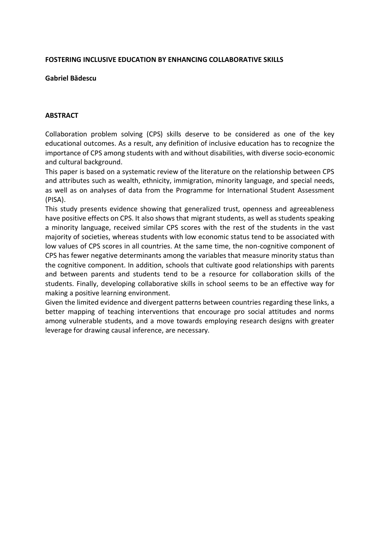## **FOSTERING INCLUSIVE EDUCATION BY ENHANCING COLLABORATIVE SKILLS**

## **Gabriel Bădescu**

## **ABSTRACT**

Collaboration problem solving (CPS) skills deserve to be considered as one of the key educational outcomes. As a result, any definition of inclusive education has to recognize the importance of CPS among students with and without disabilities, with diverse socio-economic and cultural background.

This paper is based on a systematic review of the literature on the relationship between CPS and attributes such as wealth, ethnicity, immigration, minority language, and special needs, as well as on analyses of data from the Programme for International Student Assessment (PISA).

This study presents evidence showing that generalized trust, openness and agreeableness have positive effects on CPS. It also shows that migrant students, as well as students speaking a minority language, received similar CPS scores with the rest of the students in the vast majority of societies, whereas students with low economic status tend to be associated with low values of CPS scores in all countries. At the same time, the non-cognitive component of CPS has fewer negative determinants among the variables that measure minority status than the cognitive component. In addition, schools that cultivate good relationships with parents and between parents and students tend to be a resource for collaboration skills of the students. Finally, developing collaborative skills in school seems to be an effective way for making a positive learning environment.

Given the limited evidence and divergent patterns between countries regarding these links, a better mapping of teaching interventions that encourage pro social attitudes and norms among vulnerable students, and a move towards employing research designs with greater leverage for drawing causal inference, are necessary.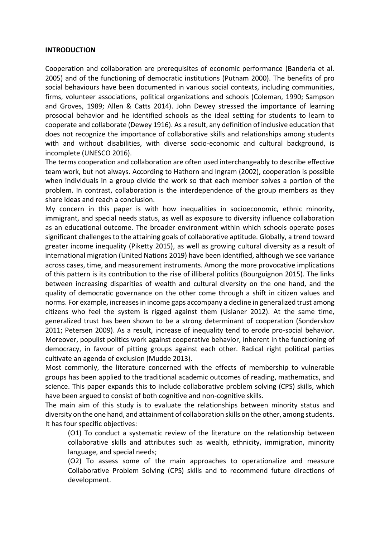#### **INTRODUCTION**

Cooperation and collaboration are prerequisites of economic performance (Banderia et al. 2005) and of the functioning of democratic institutions (Putnam 2000). The benefits of pro social behaviours have been documented in various social contexts, including communities, firms, volunteer associations, political organizations and schools (Coleman, 1990; Sampson and Groves, 1989; Allen & Catts 2014). John Dewey stressed the importance of learning prosocial behavior and he identified schools as the ideal setting for students to learn to cooperate and collaborate (Dewey 1916). As a result, any definition of inclusive education that does not recognize the importance of collaborative skills and relationships among students with and without disabilities, with diverse socio-economic and cultural background, is incomplete (UNESCO 2016).

The terms cooperation and collaboration are often used interchangeably to describe effective team work, but not always. According to Hathorn and Ingram (2002), cooperation is possible when individuals in a group divide the work so that each member solves a portion of the problem. In contrast, collaboration is the interdependence of the group members as they share ideas and reach a conclusion.

My concern in this paper is with how inequalities in socioeconomic, ethnic minority, immigrant, and special needs status, as well as exposure to diversity influence collaboration as an educational outcome. The broader environment within which schools operate poses significant challenges to the attaining goals of collaborative aptitude. Globally, a trend toward greater income inequality (Piketty 2015), as well as growing cultural diversity as a result of international migration (United Nations 2019) have been identified, although we see variance across cases, time, and measurement instruments. Among the more provocative implications of this pattern is its contribution to the rise of illiberal politics (Bourguignon 2015). The links between increasing disparities of wealth and cultural diversity on the one hand, and the quality of democratic governance on the other come through a shift in citizen values and norms. For example, increases in income gaps accompany a decline in generalized trust among citizens who feel the system is rigged against them (Uslaner 2012). At the same time, generalized trust has been shown to be a strong determinant of cooperation (Sonderskov 2011; Petersen 2009). As a result, increase of inequality tend to erode pro-social behavior. Moreover, populist politics work against cooperative behavior, inherent in the functioning of democracy, in favour of pitting groups against each other. Radical right political parties cultivate an agenda of exclusion (Mudde 2013).

Most commonly, the literature concerned with the effects of membership to vulnerable groups has been applied to the traditional academic outcomes of reading, mathematics, and science. This paper expands this to include collaborative problem solving (CPS) skills, which have been argued to consist of both cognitive and non-cognitive skills.

The main aim of this study is to evaluate the relationships between minority status and diversity on the one hand, and attainment of collaboration skills on the other, among students. It has four specific objectives:

(O1) To conduct a systematic review of the literature on the relationship between collaborative skills and attributes such as wealth, ethnicity, immigration, minority language, and special needs;

(O2) To assess some of the main approaches to operationalize and measure Collaborative Problem Solving (CPS) skills and to recommend future directions of development.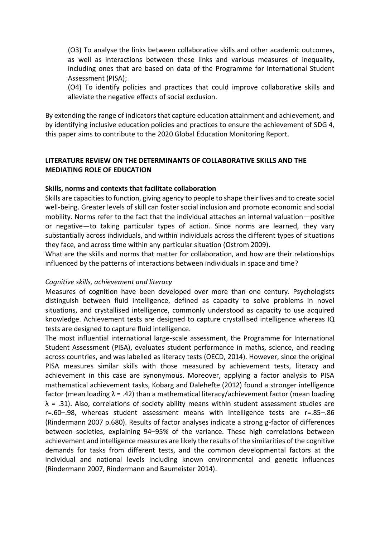(O3) To analyse the links between collaborative skills and other academic outcomes, as well as interactions between these links and various measures of inequality, including ones that are based on data of the Programme for International Student Assessment (PISA);

(O4) To identify policies and practices that could improve collaborative skills and alleviate the negative effects of social exclusion.

By extending the range of indicators that capture education attainment and achievement, and by identifying inclusive education policies and practices to ensure the achievement of SDG 4, this paper aims to contribute to the 2020 Global Education Monitoring Report.

# **LITERATURE REVIEW ON THE DETERMINANTS OF COLLABORATIVE SKILLS AND THE MEDIATING ROLE OF EDUCATION**

## **Skills, norms and contexts that facilitate collaboration**

Skills are capacities to function, giving agency to people to shape their lives and to create social well-being. Greater levels of skill can foster social inclusion and promote economic and social mobility. Norms refer to the fact that the individual attaches an internal valuation—positive or negative—to taking particular types of action. Since norms are learned, they vary substantially across individuals, and within individuals across the different types of situations they face, and across time within any particular situation (Ostrom 2009).

What are the skills and norms that matter for collaboration, and how are their relationships influenced by the patterns of interactions between individuals in space and time?

## *Cognitive skills, achievement and literacy*

Measures of cognition have been developed over more than one century. Psychologists distinguish between fluid intelligence, defined as capacity to solve problems in novel situations, and crystallised intelligence, commonly understood as capacity to use acquired knowledge. Achievement tests are designed to capture crystallised intelligence whereas IQ tests are designed to capture fluid intelligence.

The most influential international large-scale assessment, the Programme for International Student Assessment (PISA), evaluates student performance in maths, science, and reading across countries, and was labelled as literacy tests (OECD, 2014). However, since the original PISA measures similar skills with those measured by achievement tests, literacy and achievement in this case are synonymous. Moreover, applying a factor analysis to PISA mathematical achievement tasks, Kobarg and Dalehefte (2012) found a stronger intelligence factor (mean loading  $\lambda$  = .42) than a mathematical literacy/achievement factor (mean loading  $\lambda$  = .31). Also, correlations of society ability means within student assessment studies are r=.60–.98, whereas student assessment means with intelligence tests are r=.85–.86 (Rindermann 2007 p.680). Results of factor analyses indicate a strong g-factor of differences between societies, explaining 94–95% of the variance. These high correlations between achievement and intelligence measures are likely the results of the similarities of the cognitive demands for tasks from different tests, and the common developmental factors at the individual and national levels including known environmental and genetic influences (Rindermann 2007, Rindermann and Baumeister 2014).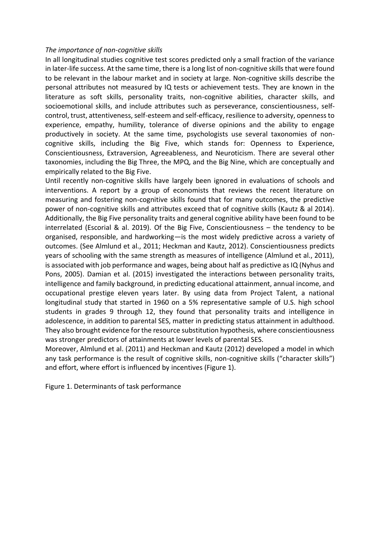## *The importance of non-cognitive skills*

In all longitudinal studies cognitive test scores predicted only a small fraction of the variance in later-life success. At the same time, there is a long list of non-cognitive skills that were found to be relevant in the labour market and in society at large. Non-cognitive skills describe the personal attributes not measured by IQ tests or achievement tests. They are known in the literature as soft skills, personality traits, non-cognitive abilities, character skills, and socioemotional skills, and include attributes such as perseverance, conscientiousness, selfcontrol, trust, attentiveness, self-esteem and self-efficacy, resilience to adversity, openness to experience, empathy, humility, tolerance of diverse opinions and the ability to engage productively in society. At the same time, psychologists use several taxonomies of noncognitive skills, including the Big Five, which stands for: Openness to Experience, Conscientiousness, Extraversion, Agreeableness, and Neuroticism. There are several other taxonomies, including the Big Three, the MPQ, and the Big Nine, which are conceptually and empirically related to the Big Five.

Until recently non-cognitive skills have largely been ignored in evaluations of schools and interventions. A report by a group of economists that reviews the recent literature on measuring and fostering non-cognitive skills found that for many outcomes, the predictive power of non-cognitive skills and attributes exceed that of cognitive skills (Kautz & al 2014). Additionally, the Big Five personality traits and general cognitive ability have been found to be interrelated (Escorial & al. 2019). Of the Big Five, Conscientiousness – the tendency to be organised, responsible, and hardworking—is the most widely predictive across a variety of outcomes. (See Almlund et al., 2011; Heckman and Kautz, 2012). Conscientiousness predicts years of schooling with the same strength as measures of intelligence (Almlund et al., 2011), is associated with job performance and wages, being about half as predictive as IQ (Nyhus and Pons, 2005). Damian et al. (2015) investigated the interactions between personality traits, intelligence and family background, in predicting educational attainment, annual income, and occupational prestige eleven years later. By using data from Project Talent, a national longitudinal study that started in 1960 on a 5% representative sample of U.S. high school students in grades 9 through 12, they found that personality traits and intelligence in adolescence, in addition to parental SES, matter in predicting status attainment in adulthood. They also brought evidence for the resource substitution hypothesis, where conscientiousness was stronger predictors of attainments at lower levels of parental SES.

Moreover, Almlund et al. (2011) and Heckman and Kautz (2012) developed a model in which any task performance is the result of cognitive skills, non-cognitive skills ("character skills") and effort, where effort is influenced by incentives (Figure 1).

Figure 1. Determinants of task performance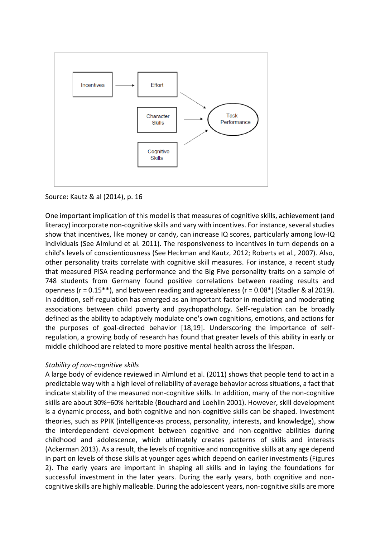

# Source: Kautz & al (2014), p. 16

One important implication of this model is that measures of cognitive skills, achievement (and literacy) incorporate non-cognitive skills and vary with incentives. For instance, several studies show that incentives, like money or candy, can increase IQ scores, particularly among low-IQ individuals (See Almlund et al. 2011). The responsiveness to incentives in turn depends on a child's levels of conscientiousness (See Heckman and Kautz, 2012; Roberts et al., 2007). Also, other personality traits correlate with cognitive skill measures. For instance, a recent study that measured PISA reading performance and the Big Five personality traits on a sample of 748 students from Germany found positive correlations between reading results and openness (r = 0.15\*\*), and between reading and agreeableness (r = 0.08\*) (Stadler & al 2019). In addition, self-regulation has emerged as an important factor in mediating and moderating associations between child poverty and psychopathology. Self-regulation can be broadly defined as the ability to adaptively modulate one's own cognitions, emotions, and actions for the purposes of goal-directed behavior [18,19]. Underscoring the importance of selfregulation, a growing body of research has found that greater levels of this ability in early or middle childhood are related to more positive mental health across the lifespan.

# *Stability of non-cognitive skills*

A large body of evidence reviewed in Almlund et al. (2011) shows that people tend to act in a predictable way with a high level of reliability of average behavior across situations, a fact that indicate stability of the measured non-cognitive skills. In addition, many of the non-cognitive skills are about 30%–60% heritable (Bouchard and Loehlin 2001). However, skill development is a dynamic process, and both cognitive and non-cognitive skills can be shaped. Investment theories, such as PPIK (intelligence-as process, personality, interests, and knowledge), show the interdependent development between cognitive and non-cognitive abilities during childhood and adolescence, which ultimately creates patterns of skills and interests (Ackerman 2013). As a result, the levels of cognitive and noncognitive skills at any age depend in part on levels of those skills at younger ages which depend on earlier investments (Figures 2). The early years are important in shaping all skills and in laying the foundations for successful investment in the later years. During the early years, both cognitive and noncognitive skills are highly malleable. During the adolescent years, non-cognitive skills are more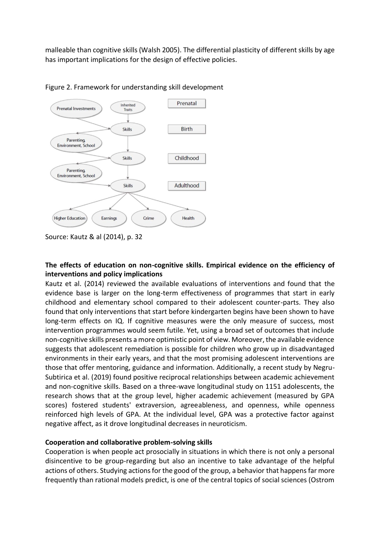malleable than cognitive skills (Walsh 2005). The differential plasticity of different skills by age has important implications for the design of effective policies.



Figure 2. Framework for understanding skill development

# **The effects of education on non-cognitive skills. Empirical evidence on the efficiency of interventions and policy implications**

Kautz et al. (2014) reviewed the available evaluations of interventions and found that the evidence base is larger on the long-term effectiveness of programmes that start in early childhood and elementary school compared to their adolescent counter-parts. They also found that only interventions that start before kindergarten begins have been shown to have long-term effects on IQ. If cognitive measures were the only measure of success, most intervention programmes would seem futile. Yet, using a broad set of outcomes that include non-cognitive skills presents a more optimistic point of view. Moreover, the available evidence suggests that adolescent remediation is possible for children who grow up in disadvantaged environments in their early years, and that the most promising adolescent interventions are those that offer mentoring, guidance and information. Additionally, a recent study by Negru-Subtirica et al. (2019) found positive reciprocal relationships between academic achievement and non-cognitive skills. Based on a three-wave longitudinal study on 1151 adolescents, the research shows that at the group level, higher academic achievement (measured by GPA scores) fostered students' extraversion, agreeableness, and openness, while openness reinforced high levels of GPA. At the individual level, GPA was a protective factor against negative affect, as it drove longitudinal decreases in neuroticism.

# **Cooperation and collaborative problem-solving skills**

Cooperation is when people act prosocially in situations in which there is not only a personal disincentive to be group-regarding but also an incentive to take advantage of the helpful actions of others. Studying actions for the good of the group, a behavior that happens far more frequently than rational models predict, is one of the central topics of social sciences (Ostrom

Source: Kautz & al (2014), p. 32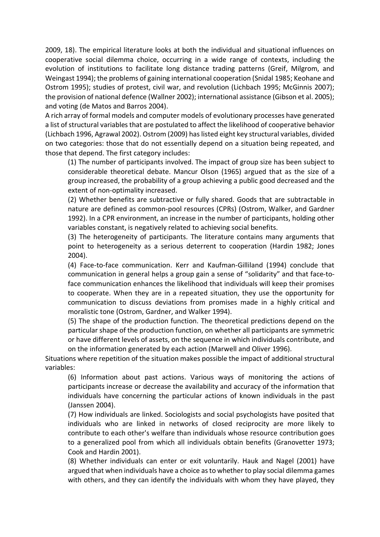2009, 18). The empirical literature looks at both the individual and situational influences on cooperative social dilemma choice, occurring in a wide range of contexts, including the evolution of institutions to facilitate long distance trading patterns (Greif, Milgrom, and Weingast 1994); the problems of gaining international cooperation (Snidal 1985; Keohane and Ostrom 1995); studies of protest, civil war, and revolution (Lichbach 1995; McGinnis 2007); the provision of national defence (Wallner 2002); international assistance (Gibson et al. 2005); and voting (de Matos and Barros 2004).

A rich array of formal models and computer models of evolutionary processes have generated a list of structural variables that are postulated to affect the likelihood of cooperative behavior (Lichbach 1996, Agrawal 2002). Ostrom (2009) has listed eight key structural variables, divided on two categories: those that do not essentially depend on a situation being repeated, and those that depend. The first category includes:

(1) The number of participants involved. The impact of group size has been subject to considerable theoretical debate. Mancur Olson (1965) argued that as the size of a group increased, the probability of a group achieving a public good decreased and the extent of non‐optimality increased.

(2) Whether benefits are subtractive or fully shared. Goods that are subtractable in nature are defined as common‐pool resources (CPRs) (Ostrom, Walker, and Gardner 1992). In a CPR environment, an increase in the number of participants, holding other variables constant, is negatively related to achieving social benefits.

(3) The heterogeneity of participants. The literature contains many arguments that point to heterogeneity as a serious deterrent to cooperation (Hardin 1982; Jones 2004).

(4) Face‐to‐face communication. Kerr and Kaufman‐Gilliland (1994) conclude that communication in general helps a group gain a sense of "solidarity" and that face‐to‐ face communication enhances the likelihood that individuals will keep their promises to cooperate. When they are in a repeated situation, they use the opportunity for communication to discuss deviations from promises made in a highly critical and moralistic tone (Ostrom, Gardner, and Walker 1994).

(5) The shape of the production function. The theoretical predictions depend on the particular shape of the production function, on whether all participants are symmetric or have different levels of assets, on the sequence in which individuals contribute, and on the information generated by each action (Marwell and Oliver 1996).

Situations where repetition of the situation makes possible the impact of additional structural variables:

(6) Information about past actions. Various ways of monitoring the actions of participants increase or decrease the availability and accuracy of the information that individuals have concerning the particular actions of known individuals in the past (Janssen 2004).

(7) How individuals are linked. Sociologists and social psychologists have posited that individuals who are linked in networks of closed reciprocity are more likely to contribute to each other's welfare than individuals whose resource contribution goes to a generalized pool from which all individuals obtain benefits (Granovetter 1973; Cook and Hardin 2001).

(8) Whether individuals can enter or exit voluntarily. Hauk and Nagel (2001) have argued that when individuals have a choice as to whether to play social dilemma games with others, and they can identify the individuals with whom they have played, they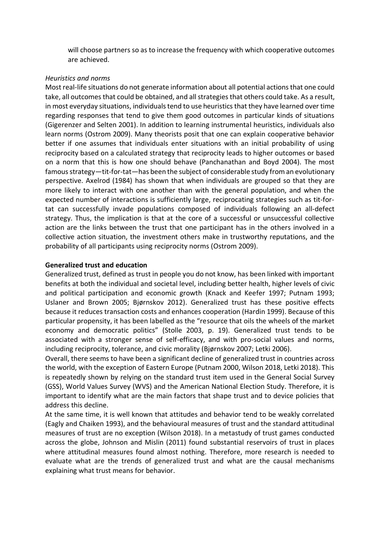will choose partners so as to increase the frequency with which cooperative outcomes are achieved.

## *Heuristics and norms*

Most real-life situations do not generate information about all potential actions that one could take, all outcomes that could be obtained, and all strategies that others could take. As a result, in most everyday situations, individuals tend to use heuristics that they have learned over time regarding responses that tend to give them good outcomes in particular kinds of situations (Gigerenzer and Selten 2001). In addition to learning instrumental heuristics, individuals also learn norms (Ostrom 2009). Many theorists posit that one can explain cooperative behavior better if one assumes that individuals enter situations with an initial probability of using reciprocity based on a calculated strategy that reciprocity leads to higher outcomes or based on a norm that this is how one should behave (Panchanathan and Boyd 2004). The most famous strategy—tit-for-tat—has been the subject of considerable study from an evolutionary perspective. Axelrod (1984) has shown that when individuals are grouped so that they are more likely to interact with one another than with the general population, and when the expected number of interactions is sufficiently large, reciprocating strategies such as tit-fortat can successfully invade populations composed of individuals following an all‐defect strategy. Thus, the implication is that at the core of a successful or unsuccessful collective action are the links between the trust that one participant has in the others involved in a collective action situation, the investment others make in trustworthy reputations, and the probability of all participants using reciprocity norms (Ostrom 2009).

## **Generalized trust and education**

Generalized trust, defined as trust in people you do not know, has been linked with important benefits at both the individual and societal level, including better health, higher levels of civic and political participation and economic growth (Knack and Keefer 1997; Putnam 1993; Uslaner and Brown 2005; Bjørnskov 2012). Generalized trust has these positive effects because it reduces transaction costs and enhances cooperation (Hardin 1999). Because of this particular propensity, it has been labelled as the "resource that oils the wheels of the market economy and democratic politics" (Stolle 2003, p. 19). Generalized trust tends to be associated with a stronger sense of self-efficacy, and with pro-social values and norms, including reciprocity, tolerance, and civic morality (Bjørnskov 2007; Letki 2006).

Overall, there seems to have been a significant decline of generalized trust in countries across the world, with the exception of Eastern Europe (Putnam 2000, Wilson 2018, Letki 2018). This is repeatedly shown by relying on the standard trust item used in the General Social Survey (GSS), World Values Survey (WVS) and the American National Election Study. Therefore, it is important to identify what are the main factors that shape trust and to device policies that address this decline.

At the same time, it is well known that attitudes and behavior tend to be weakly correlated (Eagly and Chaiken 1993), and the behavioural measures of trust and the standard attitudinal measures of trust are no exception (Wilson 2018). In a metastudy of trust games conducted across the globe, Johnson and Mislin (2011) found substantial reservoirs of trust in places where attitudinal measures found almost nothing. Therefore, more research is needed to evaluate what are the trends of generalized trust and what are the causal mechanisms explaining what trust means for behavior.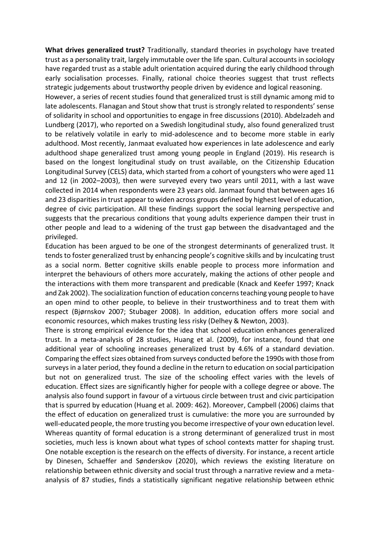**What drives generalized trust?** Traditionally, standard theories in psychology have treated trust as a personality trait, largely immutable over the life span. Cultural accounts in sociology have regarded trust as a stable adult orientation acquired during the early childhood through early socialisation processes. Finally, rational choice theories suggest that trust reflects strategic judgements about trustworthy people driven by evidence and logical reasoning.

However, a series of recent studies found that generalized trust is still dynamic among mid to late adolescents. Flanagan and Stout show that trust is strongly related to respondents' sense of solidarity in school and opportunities to engage in free discussions (2010). Abdelzadeh and Lundberg (2017), who reported on a Swedish longitudinal study, also found generalized trust to be relatively volatile in early to mid-adolescence and to become more stable in early adulthood. Most recently, Janmaat evaluated how experiences in late adolescence and early adulthood shape generalized trust among young people in England (2019). His research is based on the longest longitudinal study on trust available, on the Citizenship Education Longitudinal Survey (CELS) data, which started from a cohort of youngsters who were aged 11 and 12 (in 2002–2003), then were surveyed every two years until 2011, with a last wave collected in 2014 when respondents were 23 years old. Janmaat found that between ages 16 and 23 disparities in trust appear to widen across groups defined by highest level of education, degree of civic participation. All these findings support the social learning perspective and suggests that the precarious conditions that young adults experience dampen their trust in other people and lead to a widening of the trust gap between the disadvantaged and the privileged.

Education has been argued to be one of the strongest determinants of generalized trust. It tends to foster generalized trust by enhancing people's cognitive skills and by inculcating trust as a social norm. Better cognitive skills enable people to process more information and interpret the behaviours of others more accurately, making the actions of other people and the interactions with them more transparent and predicable (Knack and Keefer 1997; Knack and Zak 2002). The socialization function of education concerns teaching young people to have an open mind to other people, to believe in their trustworthiness and to treat them with respect (Bjørnskov 2007; Stubager 2008). In addition, education offers more social and economic resources, which makes trusting less risky (Delhey & Newton, 2003).

There is strong empirical evidence for the idea that school education enhances generalized trust. In a meta-analysis of 28 studies, Huang et al. (2009), for instance, found that one additional year of schooling increases generalized trust by 4.6% of a standard deviation. Comparing the effect sizes obtained from surveys conducted before the 1990s with those from surveys in a later period, they found a decline in the return to education on social participation but not on generalized trust. The size of the schooling effect varies with the levels of education. Effect sizes are significantly higher for people with a college degree or above. The analysis also found support in favour of a virtuous circle between trust and civic participation that is spurred by education (Huang et al. 2009: 462). Moreover, Campbell (2006) claims that the effect of education on generalized trust is cumulative: the more you are surrounded by well-educated people, the more trusting you become irrespective of your own education level. Whereas quantity of formal education is a strong determinant of generalized trust in most societies, much less is known about what types of school contexts matter for shaping trust. One notable exception is the research on the effects of diversity. For instance, a recent article by Dinesen, Schaeffer and Sønderskov (2020), which reviews the existing literature on relationship between ethnic diversity and social trust through a narrative review and a metaanalysis of 87 studies, finds a statistically significant negative relationship between ethnic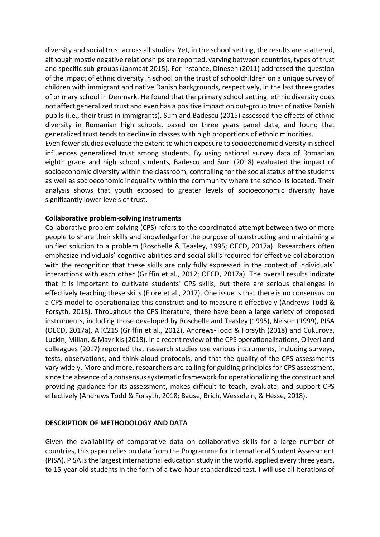diversity and social trust across all studies. Yet, in the school setting, the results are scattered, although mostly negative relationships are reported, varying between countries, types of trust and specific sub-groups (Janmaat 2015). For instance, Dinesen (2011) addressed the question of the impact of ethnic diversity in school on the trust of schoolchildren on a unique survey of children with immigrant and native Danish backgrounds, respectively, in the last three grades of primary school in Denmark. He found that the primary school setting, ethnic diversity does not affect generalized trust and even has a positive impact on out-group trust of native Danish pupils (i.e., their trust in immigrants). Sum and Badescu (2015) assessed the effects of ethnic diversity in Romanian high schools, based on three years panel data, and found that generalized trust tends to decline in classes with high proportions of ethnic minorities.

Even fewer studies evaluate the extent to which exposure to socioeconomic diversity in school influences generalized trust among students. By using national survey data of Romanian eighth grade and high school students, Badescu and Sum (2018) evaluated the impact of socioeconomic diversity within the classroom, controlling for the social status of the students as well as socioeconomic inequality within the community where the school is located. Their analysis shows that youth exposed to greater levels of socioeconomic diversity have significantly lower levels of trust.

## **Collaborative problem-solving instruments**

Collaborative problem solving (CPS) refers to the coordinated attempt between two or more people to share their skills and knowledge for the purpose of constructing and maintaining a unified solution to a problem (Roschelle & Teasley, 1995; OECD, 2017a). Researchers often emphasize individuals' cognitive abilities and social skills required for effective collaboration with the recognition that these skills are only fully expressed in the context of individuals' interactions with each other (Griffin et al., 2012; OECD, 2017a). The overall results indicate that it is important to cultivate students' CPS skills, but there are serious challenges in effectively teaching these skills (Fiore et al., 2017). One issue is that there is no consensus on a CPS model to operationalize this construct and to measure it effectively (Andrews-Todd & Forsyth, 2018). Throughout the CPS literature, there have been a large variety of proposed instruments, including those developed by Roschelle and Teasley (1995), Nelson (1999), PISA (OECD, 2017a), ATC21S (Griffin et al., 2012), Andrews-Todd & Forsyth (2018) and Cukurova, Luckin, Millan, & Mavrikis (2018). In a recent review of the CPS operationalisations, Oliveri and colleagues (2017) reported that research studies use various instruments, including surveys, tests, observations, and think-aloud protocols, and that the quality of the CPS assessments vary widely. More and more, researchers are calling for guiding principles for CPS assessment, since the absence of a consensus systematic framework for operationalizing the construct and providing guidance for its assessment, makes difficult to teach, evaluate, and support CPS effectively (Andrews Todd & Forsyth, 2018; Bause, Brich, Wesselein, & Hesse, 2018).

# **DESCRIPTION OF METHODOLOGY AND DATA**

Given the availability of comparative data on collaborative skills for a large number of countries, this paper relies on data from the Programme for International Student Assessment (PISA). PISA is the largest international education study in the world, applied every three years, to 15-year old students in the form of a two-hour standardized test. I will use all iterations of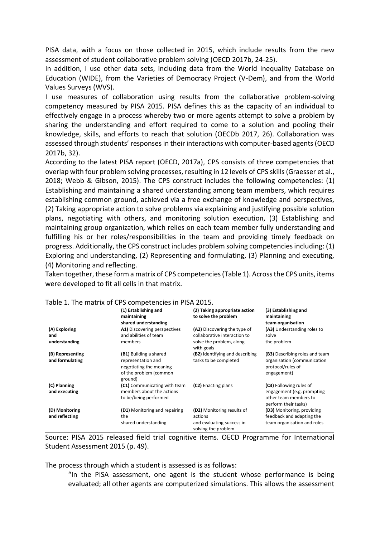PISA data, with a focus on those collected in 2015, which include results from the new assessment of student collaborative problem solving (OECD 2017b, 24-25).

In addition, I use other data sets, including data from the World Inequality Database on Education (WIDE), from the Varieties of Democracy Project (V-Dem), and from the World Values Surveys (WVS).

I use measures of collaboration using results from the collaborative problem-solving competency measured by PISA 2015. PISA defines this as the capacity of an individual to effectively engage in a process whereby two or more agents attempt to solve a problem by sharing the understanding and effort required to come to a solution and pooling their knowledge, skills, and efforts to reach that solution (OECDb 2017, 26). Collaboration was assessed through students' responses in their interactions with computer-based agents (OECD 2017b, 32).

According to the latest PISA report (OECD, 2017a), CPS consists of three competencies that overlap with four problem solving processes, resulting in 12 levels of CPS skills (Graesser et al., 2018; Webb & Gibson, 2015). The CPS construct includes the following competencies: (1) Establishing and maintaining a shared understanding among team members, which requires establishing common ground, achieved via a free exchange of knowledge and perspectives, (2) Taking appropriate action to solve problems via explaining and justifying possible solution plans, negotiating with others, and monitoring solution execution, (3) Establishing and maintaining group organization, which relies on each team member fully understanding and fulfilling his or her roles/responsibilities in the team and providing timely feedback on progress. Additionally, the CPS construct includes problem solving competencies including: (1) Exploring and understanding, (2) Representing and formulating, (3) Planning and executing, (4) Monitoring and reflecting.

Taken together, these form a matrix of CPS competencies (Table 1). Across the CPS units, items were developed to fit all cells in that matrix.

|                                     | (1) Establishing and<br>maintaining<br>shared understanding                                                  | (2) Taking appropriate action<br>to solve the problem                                     | (3) Establishing and<br>maintaining<br>team organisation                                               |
|-------------------------------------|--------------------------------------------------------------------------------------------------------------|-------------------------------------------------------------------------------------------|--------------------------------------------------------------------------------------------------------|
| (A) Exploring                       | A1) Discovering perspectives                                                                                 | (A2) Discovering the type of                                                              | (A3) Understanding roles to                                                                            |
| and<br>understanding                | and abilities of team<br>members                                                                             | collaborative interaction to<br>solve the problem, along<br>with goals                    | solve<br>the problem                                                                                   |
| (B) Representing<br>and formulating | (B1) Building a shared<br>representation and<br>negotiating the meaning<br>of the problem (common<br>ground) | (B2) Identifying and describing<br>tasks to be completed                                  | (B3) Describing roles and team<br>organisation (communication<br>protocol/rules of<br>engagement)      |
| (C) Planning<br>and executing       | (C1) Communicating with team<br>members about the actions<br>to be/being performed                           | (C2) Enacting plans                                                                       | (C3) Following rules of<br>engagement (e.g. prompting<br>other team members to<br>perform their tasks) |
| (D) Monitoring<br>and reflecting    | (D1) Monitoring and repairing<br>the<br>shared understanding                                                 | (D2) Monitoring results of<br>actions<br>and evaluating success in<br>solving the problem | (D3) Monitoring, providing<br>feedback and adapting the<br>team organisation and roles                 |

#### Table 1. The matrix of CPS competencies in PISA 2015.

Source: PISA 2015 released field trial cognitive items. OECD Programme for International Student Assessment 2015 (p. 49).

The process through which a student is assessed is as follows:

"In the PISA assessment, one agent is the student whose performance is being evaluated; all other agents are computerized simulations. This allows the assessment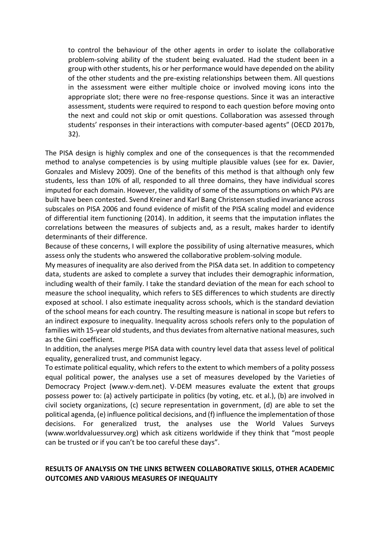to control the behaviour of the other agents in order to isolate the collaborative problem-solving ability of the student being evaluated. Had the student been in a group with other students, his or her performance would have depended on the ability of the other students and the pre-existing relationships between them. All questions in the assessment were either multiple choice or involved moving icons into the appropriate slot; there were no free-response questions. Since it was an interactive assessment, students were required to respond to each question before moving onto the next and could not skip or omit questions. Collaboration was assessed through students' responses in their interactions with computer-based agents" (OECD 2017b, 32).

The PISA design is highly complex and one of the consequences is that the recommended method to analyse competencies is by using multiple plausible values (see for ex. Davier, Gonzales and Mislevy 2009). One of the benefits of this method is that although only few students, less than 10% of all, responded to all three domains, they have individual scores imputed for each domain. However, the validity of some of the assumptions on which PVs are built have been contested. Svend Kreiner and Karl Bang Christensen studied invariance across subscales on PISA 2006 and found evidence of misfit of the PISA scaling model and evidence of differential item functioning (2014). In addition, it seems that the imputation inflates the correlations between the measures of subjects and, as a result, makes harder to identify determinants of their difference.

Because of these concerns, I will explore the possibility of using alternative measures, which assess only the students who answered the collaborative problem-solving module.

My measures of inequality are also derived from the PISA data set. In addition to competency data, students are asked to complete a survey that includes their demographic information, including wealth of their family. I take the standard deviation of the mean for each school to measure the school inequality, which refers to SES differences to which students are directly exposed at school. I also estimate inequality across schools, which is the standard deviation of the school means for each country. The resulting measure is national in scope but refers to an indirect exposure to inequality. Inequality across schools refers only to the population of families with 15-year old students, and thus deviates from alternative national measures, such as the Gini coefficient.

In addition, the analyses merge PISA data with country level data that assess level of political equality, generalized trust, and communist legacy.

To estimate political equality, which refers to the extent to which members of a polity possess equal political power, the analyses use a set of measures developed by the Varieties of Democracy Project (www.v-dem.net). V-DEM measures evaluate the extent that groups possess power to: (a) actively participate in politics (by voting, etc. et al.), (b) are involved in civil society organizations, (c) secure representation in government, (d) are able to set the political agenda, (e) influence political decisions, and (f) influence the implementation of those decisions. For generalized trust, the analyses use the World Values Surveys (www.worldvaluessurvey.org) which ask citizens worldwide if they think that "most people can be trusted or if you can't be too careful these days".

## **RESULTS OF ANALYSIS ON THE LINKS BETWEEN COLLABORATIVE SKILLS, OTHER ACADEMIC OUTCOMES AND VARIOUS MEASURES OF INEQUALITY**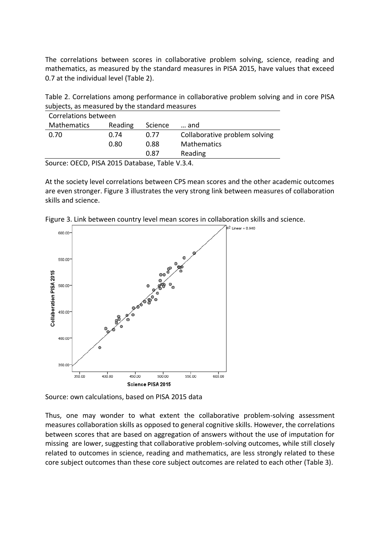The correlations between scores in collaborative problem solving, science, reading and mathematics, as measured by the standard measures in PISA 2015, have values that exceed 0.7 at the individual level (Table 2).

| Table 2. Correlations among performance in collaborative problem solving and in core PISA |  |
|-------------------------------------------------------------------------------------------|--|
| subjects, as measured by the standard measures                                            |  |

| Correlations between |         |         |                               |  |  |  |  |  |  |  |
|----------------------|---------|---------|-------------------------------|--|--|--|--|--|--|--|
| <b>Mathematics</b>   | Reading | Science | and                           |  |  |  |  |  |  |  |
| 0.70                 | 0.74    | 0.77    | Collaborative problem solving |  |  |  |  |  |  |  |
|                      | 0.80    | 0.88    | <b>Mathematics</b>            |  |  |  |  |  |  |  |
|                      |         | 0.87    | Reading                       |  |  |  |  |  |  |  |

Source: OECD, PISA 2015 Database, Table V.3.4.

At the society level correlations between CPS mean scores and the other academic outcomes are even stronger. Figure 3 illustrates the very strong link between measures of collaboration skills and science.



Figure 3. Link between country level mean scores in collaboration skills and science.

Source: own calculations, based on PISA 2015 data

Thus, one may wonder to what extent the collaborative problem-solving assessment measures collaboration skills as opposed to general cognitive skills. However, the correlations between scores that are based on aggregation of answers without the use of imputation for missing are lower, suggesting that collaborative problem-solving outcomes, while still closely related to outcomes in science, reading and mathematics, are less strongly related to these core subject outcomes than these core subject outcomes are related to each other (Table 3).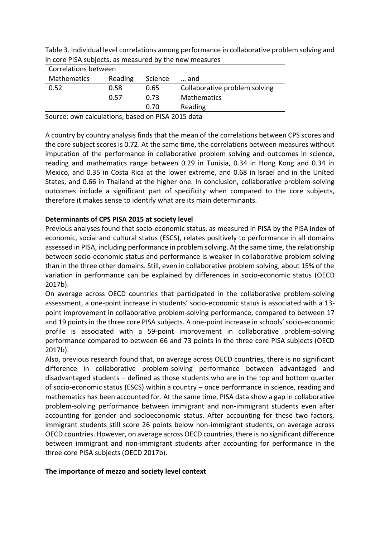Table 3. Individual level correlations among performance in collaborative problem solving and in core PISA subjects, as measured by the new measures

| Correlations between |         |         |                               |
|----------------------|---------|---------|-------------------------------|
| <b>Mathematics</b>   | Reading | Science | and                           |
| 0.52                 | 0.58    | 0.65    | Collaborative problem solving |
|                      | 0.57    | 0.73    | Mathematics                   |
|                      |         | 0.70    | Reading                       |
|                      |         |         |                               |

Source: own calculations, based on PISA 2015 data

A country by country analysis finds that the mean of the correlations between CPS scores and the core subject scores is 0.72. At the same time, the correlations between measures without imputation of the performance in collaborative problem solving and outcomes in science, reading and mathematics range between 0.29 in Tunisia, 0.34 in Hong Kong and 0.34 in Mexico, and 0.35 in Costa Rica at the lower extreme, and 0.68 in Israel and in the United States, and 0.66 in Thailand at the higher one. In conclusion, collaborative problem-solving outcomes include a significant part of specificity when compared to the core subjects, therefore it makes sense to identify what are its main determinants.

## **Determinants of CPS PISA 2015 at society level**

Previous analyses found that socio-economic status, as measured in PISA by the PISA index of economic, social and cultural status (ESCS), relates positively to performance in all domains assessed in PISA, including performance in problem solving. At the same time, the relationship between socio-economic status and performance is weaker in collaborative problem solving than in the three other domains. Still, even in collaborative problem solving, about 15% of the variation in performance can be explained by differences in socio-economic status (OECD 2017b).

On average across OECD countries that participated in the collaborative problem-solving assessment, a one-point increase in students' socio‑economic status is associated with a 13 point improvement in collaborative problem-solving performance, compared to between 17 and 19 points in the three core PISA subjects. A one-point increase in schools' socio-economic profile is associated with a 59-point improvement in collaborative problem-solving performance compared to between 66 and 73 points in the three core PISA subjects (OECD 2017b).

Also, previous research found that, on average across OECD countries, there is no significant difference in collaborative problem-solving performance between advantaged and disadvantaged students – defined as those students who are in the top and bottom quarter of socio-economic status (ESCS) within a country – once performance in science, reading and mathematics has been accounted for. At the same time, PISA data show a gap in collaborative problem-solving performance between immigrant and non-immigrant students even after accounting for gender and socioeconomic status. After accounting for these two factors, immigrant students still score 26 points below non-immigrant students, on average across OECD countries. However, on average across OECD countries, there is no significant difference between immigrant and non-immigrant students after accounting for performance in the three core PISA subjects (OECD 2017b).

## **The importance of mezzo and society level context**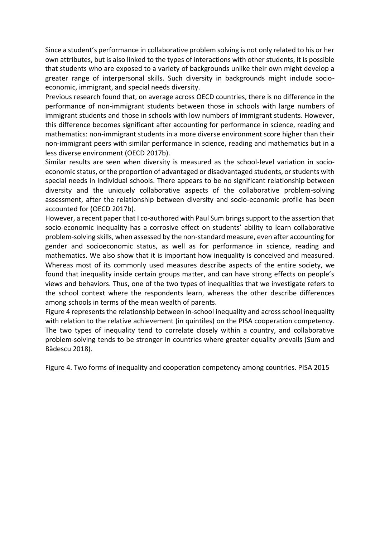Since a student's performance in collaborative problem solving is not only related to his or her own attributes, but is also linked to the types of interactions with other students, it is possible that students who are exposed to a variety of backgrounds unlike their own might develop a greater range of interpersonal skills. Such diversity in backgrounds might include socioeconomic, immigrant, and special needs diversity.

Previous research found that, on average across OECD countries, there is no difference in the performance of non-immigrant students between those in schools with large numbers of immigrant students and those in schools with low numbers of immigrant students. However, this difference becomes significant after accounting for performance in science, reading and mathematics: non-immigrant students in a more diverse environment score higher than their non-immigrant peers with similar performance in science, reading and mathematics but in a less diverse environment (OECD 2017b).

Similar results are seen when diversity is measured as the school-level variation in socioeconomic status, or the proportion of advantaged or disadvantaged students, or students with special needs in individual schools. There appears to be no significant relationship between diversity and the uniquely collaborative aspects of the collaborative problem-solving assessment, after the relationship between diversity and socio-economic profile has been accounted for (OECD 2017b).

However, a recent paper that I co-authored with Paul Sum brings support to the assertion that socio-economic inequality has a corrosive effect on students' ability to learn collaborative problem-solving skills, when assessed by the non-standard measure, even after accounting for gender and socioeconomic status, as well as for performance in science, reading and mathematics. We also show that it is important how inequality is conceived and measured. Whereas most of its commonly used measures describe aspects of the entire society, we found that inequality inside certain groups matter, and can have strong effects on people's views and behaviors. Thus, one of the two types of inequalities that we investigate refers to the school context where the respondents learn, whereas the other describe differences among schools in terms of the mean wealth of parents.

Figure 4 represents the relationship between in-school inequality and across school inequality with relation to the relative achievement (in quintiles) on the PISA cooperation competency. The two types of inequality tend to correlate closely within a country, and collaborative problem-solving tends to be stronger in countries where greater equality prevails (Sum and Bădescu 2018).

Figure 4. Two forms of inequality and cooperation competency among countries. PISA 2015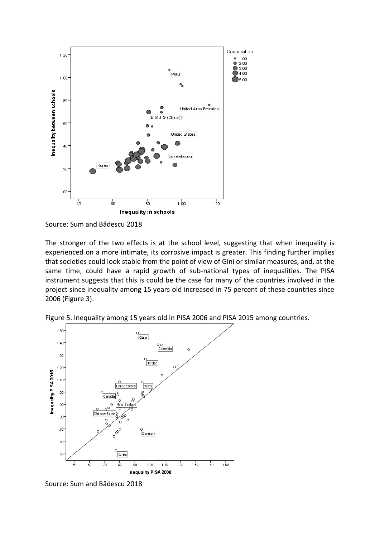

Source: Sum and Bădescu 2018

The stronger of the two effects is at the school level, suggesting that when inequality is experienced on a more intimate, its corrosive impact is greater. This finding further implies that societies could look stable from the point of view of Gini or similar measures, and, at the same time, could have a rapid growth of sub-national types of inequalities. The PISA instrument suggests that this is could be the case for many of the countries involved in the project since inequality among 15 years old increased in 75 percent of these countries since 2006 (Figure 3).



Figure 5. Inequality among 15 years old in PISA 2006 and PISA 2015 among countries.

Source: Sum and Bădescu 2018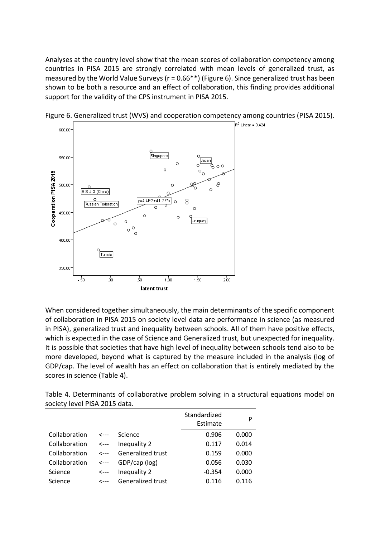Analyses at the country level show that the mean scores of collaboration competency among countries in PISA 2015 are strongly correlated with mean levels of generalized trust, as measured by the World Value Surveys (r = 0.66\*\*) (Figure 6). Since generalized trust has been shown to be both a resource and an effect of collaboration, this finding provides additional support for the validity of the CPS instrument in PISA 2015.



Figure 6. Generalized trust (WVS) and cooperation competency among countries (PISA 2015).

When considered together simultaneously, the main determinants of the specific component of collaboration in PISA 2015 on society level data are performance in science (as measured in PISA), generalized trust and inequality between schools. All of them have positive effects, which is expected in the case of Science and Generalized trust, but unexpected for inequality. It is possible that societies that have high level of inequality between schools tend also to be more developed, beyond what is captured by the measure included in the analysis (log of GDP/cap. The level of wealth has an effect on collaboration that is entirely mediated by the scores in science (Table 4).

Table 4. Determinants of collaborative problem solving in a structural equations model on society level PISA 2015 data.

|               |              |                   | Standardized<br>Estimate |       |  |  |  |
|---------------|--------------|-------------------|--------------------------|-------|--|--|--|
| Collaboration | <---         | Science           | 0.906                    | 0.000 |  |  |  |
| Collaboration | <---         | Inequality 2      | 0.117                    | 0.014 |  |  |  |
| Collaboration | $\leftarrow$ | Generalized trust | 0.159                    | 0.000 |  |  |  |
| Collaboration | <---         | GDP/cap (log)     | 0.056                    | 0.030 |  |  |  |
| Science       | <---         | Inequality 2      | $-0.354$                 | 0.000 |  |  |  |
| Science       |              | Generalized trust | 0.116                    | 0.116 |  |  |  |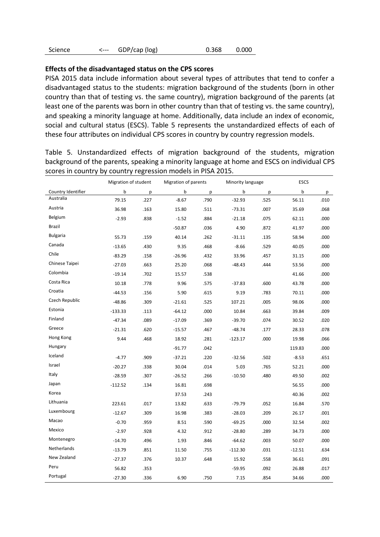| Science<br>⊂--- | GDP/cap (log) | 0.368 | 0.000 |
|-----------------|---------------|-------|-------|
|-----------------|---------------|-------|-------|

### **Effects of the disadvantaged status on the CPS scores**

PISA 2015 data include information about several types of attributes that tend to confer a disadvantaged status to the students: migration background of the students (born in other country than that of testing vs. the same country), migration background of the parents (at least one of the parents was born in other country than that of testing vs. the same country), and speaking a minority language at home. Additionally, data include an index of economic, social and cultural status (ESCS). Table 5 represents the unstandardized effects of each of these four attributes on individual CPS scores in country by country regression models.

Table 5. Unstandardized effects of migration background of the students, migration background of the parents, speaking a minority language at home and ESCS on individual CPS scores in country by country regression models in PISA 2015.

|                    | Migration of student |      | Migration of parents |      | Minority language |      | <b>ESCS</b> |      |  |
|--------------------|----------------------|------|----------------------|------|-------------------|------|-------------|------|--|
| Country Identifier | b                    | p    | b                    | p    | b                 | р    | b           | р    |  |
| Australia          | 79.15                | .227 | $-8.67$              | .790 | $-32.93$          | .525 | 56.11       | .010 |  |
| Austria            | 36.98                | .163 | 15.80                | .511 | $-73.31$          | .007 | 35.69       | .068 |  |
| Belgium            | $-2.93$              | .838 | $-1.52$              | .884 | $-21.18$          | .075 | 62.11       | .000 |  |
| Brazil             |                      |      | $-50.87$             | .036 | 4.90              | .872 | 41.97       | .000 |  |
| <b>Bulgaria</b>    | 55.73                | .159 | 40.14                | .262 | $-31.11$          | .135 | 58.94       | .000 |  |
| Canada             | $-13.65$             | .430 | 9.35                 | .468 | $-8.66$           | .529 | 40.05       | .000 |  |
| Chile              | $-83.29$             | .158 | $-26.96$             | .432 | 33.96             | .457 | 31.15       | .000 |  |
| Chinese Taipei     | $-27.03$             | .663 | 25.20                | .068 | $-48.43$          | .444 | 53.56       | .000 |  |
| Colombia           | $-19.14$             | .702 | 15.57                | .538 |                   |      | 41.66       | .000 |  |
| Costa Rica         | 10.18                | .778 | 9.96                 | .575 | $-37.83$          | .600 | 43.78       | .000 |  |
| Croatia            | $-44.53$             | .156 | 5.90                 | .615 | 9.19              | .783 | 70.11       | .000 |  |
| Czech Republic     | $-48.86$             | .309 | $-21.61$             | .525 | 107.21            | .005 | 98.06       | .000 |  |
| Estonia            | $-133.33$            | .113 | $-64.12$             | .000 | 10.84             | .663 | 39.84       | .009 |  |
| Finland            | $-47.34$             | .089 | $-17.09$             | .369 | $-39.70$          | .074 | 30.52       | .020 |  |
| Greece             | $-21.31$             | .620 | $-15.57$             | .467 | $-48.74$          | .177 | 28.33       | .078 |  |
| Hong Kong          | 9.44                 | .468 | 18.92                | .281 | $-123.17$         | .000 | 19.98       | .066 |  |
| Hungary            |                      |      | $-91.77$             | .042 |                   |      | 119.83      | .000 |  |
| Iceland            | $-4.77$              | .909 | $-37.21$             | .220 | $-32.56$          | .502 | $-8.53$     | .651 |  |
| Israel             | $-20.27$             | .338 | 30.04                | .014 | 5.03              | .765 | 52.21       | .000 |  |
| Italy              | $-28.59$             | .307 | $-26.52$             | .266 | $-10.50$          | .480 | 49.50       | .002 |  |
| Japan              | $-112.52$            | .134 | 16.81                | .698 |                   |      | 56.55       | .000 |  |
| Korea              |                      |      | 37.53                | .243 |                   |      | 40.36       | .002 |  |
| Lithuania          | 223.61               | .017 | 13.82                | .633 | $-79.79$          | .052 | 16.84       | .570 |  |
| Luxembourg         | $-12.67$             | .309 | 16.98                | .383 | $-28.03$          | .209 | 26.17       | .001 |  |
| Macao              | $-0.70$              | .959 | 8.51                 | .590 | $-69.25$          | .000 | 32.54       | .002 |  |
| Mexico             | $-2.97$              | .928 | 4.32                 | .912 | $-28.80$          | .289 | 34.73       | .000 |  |
| Montenegro         | $-14.70$             | .496 | 1.93                 | .846 | $-64.62$          | .003 | 50.07       | .000 |  |
| Netherlands        | $-13.79$             | .851 | 11.50                | .755 | $-112.30$         | .031 | $-12.51$    | .634 |  |
| New Zealand        | $-27.37$             | .376 | 10.37                | .648 | 15.92             | .558 | 36.61       | .091 |  |
| Peru               | 56.82                | .353 |                      |      | $-59.95$          | .092 | 26.88       | .017 |  |
| Portugal           | $-27.30$             | .336 | 6.90                 | .750 | 7.15              | .854 | 34.66       | .000 |  |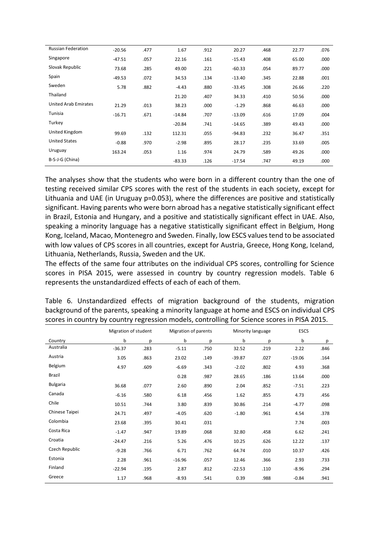| <b>Russian Federation</b>   | $-20.56$ | .477 | 1.67     | .912 | 20.27    | .468 | 22.77 | .076 |
|-----------------------------|----------|------|----------|------|----------|------|-------|------|
| Singapore                   | $-47.51$ | .057 | 22.16    | .161 | $-15.43$ | .408 | 65.00 | .000 |
| Slovak Republic             | 73.68    | .285 | 49.00    | .221 | $-60.33$ | .054 | 89.77 | .000 |
| Spain                       | $-49.53$ | .072 | 34.53    | .134 | $-13.40$ | .345 | 22.88 | .001 |
| Sweden                      | 5.78     | .882 | $-4.43$  | .880 | $-33.45$ | .308 | 26.66 | .220 |
| Thailand                    |          |      | 21.20    | .407 | 34.33    | .410 | 50.56 | .000 |
| <b>United Arab Emirates</b> | 21.29    | .013 | 38.23    | .000 | $-1.29$  | .868 | 46.63 | .000 |
| Tunisia                     | $-16.71$ | .671 | $-14.84$ | .707 | $-13.09$ | .616 | 17.09 | .004 |
| Turkey                      |          |      | $-20.84$ | .741 | $-14.65$ | .389 | 49.43 | .000 |
| United Kingdom              | 99.69    | .132 | 112.31   | .055 | $-94.83$ | .232 | 36.47 | .351 |
| <b>United States</b>        | $-0.88$  | .970 | $-2.98$  | .895 | 28.17    | .235 | 33.69 | .005 |
| Uruguay                     | 163.24   | .053 | 1.16     | .974 | 24.79    | .589 | 49.26 | .000 |
| B-S-J-G (China)             |          |      | $-83.33$ | .126 | $-17.54$ | .747 | 49.19 | .000 |

The analyses show that the students who were born in a different country than the one of testing received similar CPS scores with the rest of the students in each society, except for Lithuania and UAE (in Uruguay p=0.053), where the differences are positive and statistically significant. Having parents who were born abroad has a negative statistically significant effect in Brazil, Estonia and Hungary, and a positive and statistically significant effect in UAE. Also, speaking a minority language has a negative statistically significant effect in Belgium, Hong Kong, Iceland, Macao, Montenegro and Sweden. Finally, low ESCS values tend to be associated with low values of CPS scores in all countries, except for Austria, Greece, Hong Kong, Iceland, Lithuania, Netherlands, Russia, Sweden and the UK.

The effects of the same four attributes on the individual CPS scores, controlling for Science scores in PISA 2015, were assessed in country by country regression models. Table 6 represents the unstandardized effects of each of each of them.

|                 |          | Migration of student<br>Migration of parents |          |      | Minority language |      | <b>ESCS</b> |      |  |
|-----------------|----------|----------------------------------------------|----------|------|-------------------|------|-------------|------|--|
| Country         | b        | p                                            | b        | p    | b                 | р    | b           | p    |  |
| Australia       | $-36.37$ | .283                                         | $-5.11$  | .750 | 32.52             | .219 | 2.22        | .846 |  |
| Austria         | 3.05     | .863                                         | 23.02    | .149 | $-39.87$          | .027 | $-19.06$    | .164 |  |
| Belgium         | 4.97     | .609                                         | $-6.69$  | .343 | $-2.02$           | .802 | 4.93        | .368 |  |
| Brazil          |          |                                              | 0.28     | .987 | 28.65             | .186 | 13.64       | .000 |  |
| <b>Bulgaria</b> | 36.68    | .077                                         | 2.60     | .890 | 2.04              | .852 | $-7.51$     | .223 |  |
| Canada          | $-6.16$  | .580                                         | 6.18     | .456 | 1.62              | .855 | 4.73        | .456 |  |
| Chile           | 10.51    | .744                                         | 3.80     | .839 | 30.86             | .214 | $-4.77$     | .098 |  |
| Chinese Taipei  | 24.71    | .497                                         | $-4.05$  | .620 | $-1.80$           | .961 | 4.54        | .378 |  |
| Colombia        | 23.68    | .395                                         | 30.41    | .031 |                   |      | 7.74        | .003 |  |
| Costa Rica      | $-1.47$  | .947                                         | 19.89    | .068 | 32.80             | .458 | 6.62        | .241 |  |
| Croatia         | $-24.47$ | .216                                         | 5.26     | .476 | 10.25             | .626 | 12.22       | .137 |  |
| Czech Republic  | $-9.28$  | .766                                         | 6.71     | .762 | 64.74             | .010 | 10.37       | .426 |  |
| Estonia         | 2.28     | .961                                         | $-16.96$ | .057 | 12.46             | .366 | 2.93        | .733 |  |
| Finland         | $-22.94$ | .195                                         | 2.87     | .812 | $-22.53$          | .110 | $-8.96$     | .294 |  |
| Greece          | 1.17     | .968                                         | $-8.93$  | .541 | 0.39              | .988 | $-0.84$     | .941 |  |

Table 6. Unstandardized effects of migration background of the students, migration background of the parents, speaking a minority language at home and ESCS on individual CPS scores in country by country regression models, controlling for Science scores in PISA 2015.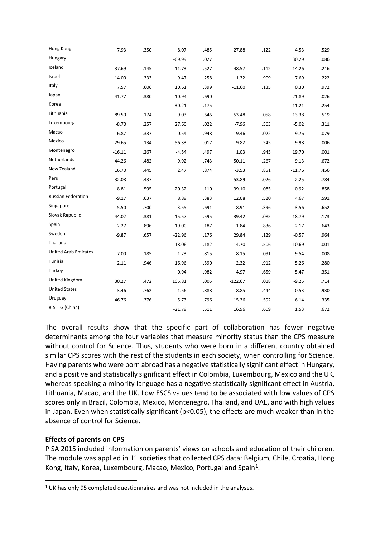| Hong Kong                   | 7.93     | .350 | $-8.07$  | .485 | $-27.88$  | .122 | $-4.53$  | .529 |
|-----------------------------|----------|------|----------|------|-----------|------|----------|------|
| Hungary                     |          |      | $-69.99$ | .027 |           |      | 30.29    | .086 |
| Iceland                     | $-37.69$ | .145 | $-11.73$ | .527 | 48.57     | .112 | $-14.26$ | .216 |
| Israel                      | $-14.00$ | .333 | 9.47     | .258 | $-1.32$   | .909 | 7.69     | .222 |
| Italy                       | 7.57     | .606 | 10.61    | .399 | $-11.60$  | .135 | 0.30     | .972 |
| Japan                       | $-41.77$ | .380 | $-10.94$ | .690 |           |      | $-21.89$ | .026 |
| Korea                       |          |      | 30.21    | .175 |           |      | $-11.21$ | .254 |
| Lithuania                   | 89.50    | .174 | 9.03     | .646 | $-53.48$  | .058 | $-13.38$ | .519 |
| Luxembourg                  | $-8.70$  | .257 | 27.60    | .022 | $-7.96$   | .563 | $-5.02$  | .311 |
| Macao                       | $-6.87$  | .337 | 0.54     | .948 | $-19.46$  | .022 | 9.76     | .079 |
| Mexico                      | $-29.65$ | .134 | 56.33    | .017 | $-9.82$   | .545 | 9.98     | .006 |
| Montenegro                  | $-16.11$ | .267 | $-4.54$  | .497 | 1.03      | .945 | 19.70    | .001 |
| Netherlands                 | 44.26    | .482 | 9.92     | .743 | $-50.11$  | .267 | $-9.13$  | .672 |
| New Zealand                 | 16.70    | .445 | 2.47     | .874 | $-3.53$   | .851 | $-11.76$ | .456 |
| Peru                        | 32.08    | .437 |          |      | $-53.89$  | .026 | $-2.25$  | .784 |
| Portugal                    | 8.81     | .595 | $-20.32$ | .110 | 39.10     | .085 | $-0.92$  | .858 |
| <b>Russian Federation</b>   | $-9.17$  | .637 | 8.89     | .383 | 12.08     | .520 | 4.67     | .591 |
| Singapore                   | 5.50     | .700 | 3.55     | .691 | $-8.91$   | .396 | 3.56     | .652 |
| Slovak Republic             | 44.02    | .381 | 15.57    | .595 | $-39.42$  | .085 | 18.79    | .173 |
| Spain                       | 2.27     | .896 | 19.00    | .187 | 1.84      | .836 | $-2.17$  | .643 |
| Sweden                      | $-9.87$  | .657 | $-22.96$ | .176 | 29.84     | .129 | $-0.57$  | .964 |
| Thailand                    |          |      | 18.06    | .182 | $-14.70$  | .506 | 10.69    | .001 |
| <b>United Arab Emirates</b> | 7.00     | .185 | 1.23     | .815 | $-8.15$   | .091 | 9.54     | .008 |
| Tunisia                     | $-2.11$  | .946 | $-16.96$ | .590 | 2.32      | .912 | 5.26     | .280 |
| Turkey                      |          |      | 0.94     | .982 | $-4.97$   | .659 | 5.47     | .351 |
| United Kingdom              | 30.27    | .472 | 105.81   | .005 | $-122.67$ | .018 | $-9.25$  | .714 |
| <b>United States</b>        | 3.46     | .762 | $-1.56$  | .888 | 8.85      | .444 | 0.53     | .930 |
| Uruguay                     | 46.76    | .376 | 5.73     | .796 | $-15.36$  | .592 | 6.14     | .335 |
| B-S-J-G (China)             |          |      | $-21.79$ | .511 | 16.96     | .609 | 1.53     | .672 |

The overall results show that the specific part of collaboration has fewer negative determinants among the four variables that measure minority status than the CPS measure without control for Science. Thus, students who were born in a different country obtained similar CPS scores with the rest of the students in each society, when controlling for Science. Having parents who were born abroad has a negative statistically significant effect in Hungary, and a positive and statistically significant effect in Colombia, Luxembourg, Mexico and the UK, whereas speaking a minority language has a negative statistically significant effect in Austria, Lithuania, Macao, and the UK. Low ESCS values tend to be associated with low values of CPS scores only in Brazil, Colombia, Mexico, Montenegro, Thailand, and UAE, and with high values in Japan. Even when statistically significant (p<0.05), the effects are much weaker than in the absence of control for Science.

# **Effects of parents on CPS**

PISA 2015 included information on parents' views on schools and education of their children. The module was applied in 11 societies that collected CPS data: Belgium, Chile, Croatia, Hong Kong, Italy, Korea, Luxembourg, Macao, Mexico, Portugal and Spain<sup>1</sup>.

<sup>&</sup>lt;sup>1</sup> UK has only 95 completed questionnaires and was not included in the analyses.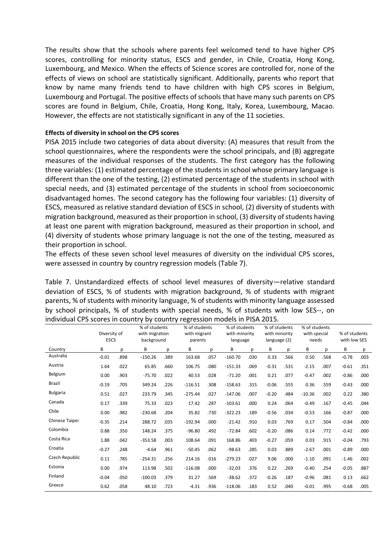The results show that the schools where parents feel welcomed tend to have higher CPS scores, controlling for minority status, ESCS and gender, in Chile, Croatia, Hong Kong, Luxembourg, and Mexico. When the effects of Science scores are controlled for, none of the effects of views on school are statistically significant. Additionally, parents who report that know by name many friends tend to have children with high CPS scores in Belgium, Luxembourg and Portugal. The positive effects of schools that have many such parents on CPS scores are found in Belgium, Chile, Croatia, Hong Kong, Italy, Korea, Luxembourg, Macao. However, the effects are not statistically significant in any of the 11 societies.

## **Effects of diversity in school on the CPS scores**

PISA 2015 include two categories of data about diversity: (A) measures that result from the school questionnaires, where the respondents were the school principals, and (B) aggregate measures of the individual responses of the students. The first category has the following three variables: (1) estimated percentage of the students in school whose primary language is different than the one of the testing, (2) estimated percentage of the students in school with special needs, and (3) estimated percentage of the students in school from socioeconomic disadvantaged homes. The second category has the following four variables: (1) diversity of ESCS, measured as relative standard deviation of ESCS in school, (2) diversity of students with migration background, measured as their proportion in school, (3) diversity of students having at least one parent with migration background, measured as their proportion in school, and (4) diversity of students whose primary language is not the one of the testing, measured as their proportion in school.

The effects of these seven school level measures of diversity on the individual CPS scores, were assessed in country by country regression models (Table 7).

Table 7. Unstandardized effects of school level measures of diversity—relative standard deviation of ESCS, % of students with migration background, % of students with migrant parents, % of students with minority language, % of students with minority language assessed by school principals, % of students with special needs, % of students with low SES--, on individual CPS scores in country by country regression models in PISA 2015.

|                 |         | Diversity of<br><b>ESCS</b> |           | % of students<br>with migration<br>background |           | % of students<br>with migrant<br>parents |           | % of students<br>with minority<br>language |         | % of students<br>with minority<br>language (2) |          | % of students<br>with special<br>needs |         | % of students<br>with low SES |  |
|-----------------|---------|-----------------------------|-----------|-----------------------------------------------|-----------|------------------------------------------|-----------|--------------------------------------------|---------|------------------------------------------------|----------|----------------------------------------|---------|-------------------------------|--|
| Country         | В       | p                           | В         | p                                             | В         | p                                        | В         | p                                          | В       | p                                              | В        | p                                      | B       | p                             |  |
| Australia       | $-0.01$ | .898                        | $-150.26$ | .389                                          | 163.68    | .057                                     | $-160.70$ | .030                                       | 0.33    | .566                                           | 0.50     | .568                                   | $-0.78$ | .003                          |  |
| Austria         | 1.64    | .022                        | 65.85     | .660                                          | 106.75    | .080                                     | $-151.33$ | .069                                       | $-0.31$ | .531                                           | $-2.15$  | .007                                   | $-0.61$ | .351                          |  |
| Belgium         | 0.00    | .903                        | $-75.70$  | .022                                          | 40.53     | .028                                     | $-71.20$  | .001                                       | 0.21    | .077                                           | $-0.47$  | .002                                   | $-0.86$ | .000                          |  |
| Brazil          | $-0.19$ | .705                        | 349.24    | .226                                          | $-116.51$ | .308                                     | $-158.63$ | .315                                       | $-0.06$ | .555                                           | 0.36     | .559                                   | $-0.43$ | .000                          |  |
| <b>Bulgaria</b> | 0.51    | .027                        | 233.79    | .345                                          | $-275.44$ | .027                                     | $-147.06$ | .007                                       | $-0.20$ | .484                                           | $-10.36$ | .002                                   | 0.22    | .380                          |  |
| Canada          | 0.17    | .339                        | 75.33     | .023                                          | 17.42     | .287                                     | $-103.61$ | .000                                       | 0.24    | .064                                           | $-0.49$  | .167                                   | $-0.45$ | .044                          |  |
| Chile           | 0.00    | .982                        | $-230.68$ | .204                                          | 35.82     | .730                                     | $-322.23$ | .189                                       | $-0.56$ | .034                                           | $-0.53$  | .166                                   | $-0.87$ | .000                          |  |
| Chinese Taipei  | $-0.35$ | .214                        | 288.72    | .035                                          | $-192.94$ | .000                                     | $-21.42$  | .910                                       | 0.03    | .769                                           | 0.17     | .504                                   | $-0.84$ | .000                          |  |
| Colombia        | 0.88    | .350                        | 148.24    | .375                                          | $-96.80$  | .492                                     | $-72.84$  | .602                                       | $-0.20$ | .086                                           | 0.14     | .772                                   | $-0.42$ | .000                          |  |
| Costa Rica      | 1.88    | .042                        | $-353.58$ | .003                                          | 108.64    | .091                                     | 168.86    | .403                                       | $-0.27$ | .059                                           | 0.03     | .915                                   | $-0.04$ | .793                          |  |
| Croatia         | $-0.27$ | .248                        | $-4.64$   | .961                                          | $-50.45$  | .062                                     | $-98.63$  | .285                                       | 0.03    | .889                                           | $-2.67$  | .001                                   | $-0.89$ | .000                          |  |
| Czech Republic  | 0.11    | .785                        | $-254.31$ | .256                                          | 214.16    | .016                                     | $-279.23$ | .027                                       | 9.06    | .000                                           | $-1.10$  | .091                                   | $-1.46$ | .002                          |  |
| Estonia         | 0.00    | .974                        | 113.98    | .502                                          | $-116.08$ | .000                                     | $-32.03$  | .376                                       | 0.22    | .269                                           | $-0.40$  | .254                                   | $-0.05$ | .887                          |  |
| Finland         | $-0.04$ | .050                        | $-100.03$ | .379                                          | 31.27     | .569                                     | $-38.62$  | .372                                       | $-0.26$ | .187                                           | $-0.96$  | .081                                   | 0.13    | .662                          |  |
| Greece          | 0.62    | .058                        | 48.10     | .723                                          | $-4.31$   | .936                                     | $-118.06$ | .183                                       | 0.52    | .040                                           | $-0.01$  | .995                                   | $-0.68$ | .005                          |  |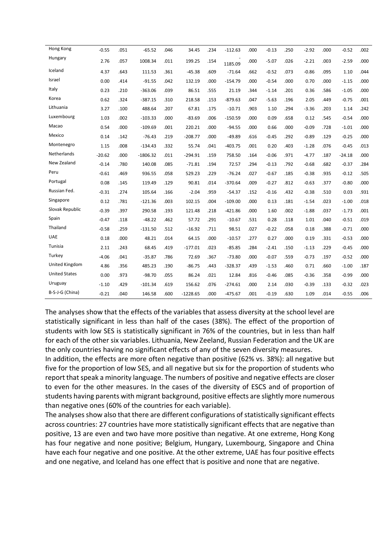| Hong Kong            | $-0.55$  | .051 | $-65.52$   | .046 | 34.45      | .234 | $-112.63$ | .000 | $-0.13$ | .250 | $-2.92$ | .000 | $-0.52$  | .002 |
|----------------------|----------|------|------------|------|------------|------|-----------|------|---------|------|---------|------|----------|------|
| Hungary              | 2.76     | .057 | 1008.34    | .011 | 199.25     | .154 | 1185.09   | .000 | $-5.07$ | .026 | $-2.21$ | .003 | $-2.59$  | .000 |
| Iceland              | 4.37     | .643 | 111.53     | .361 | $-45.38$   | .609 | $-71.64$  | .662 | $-0.52$ | .073 | $-0.86$ | .095 | 1.10     | .044 |
| Israel               | 0.00     | .414 | $-91.55$   | .042 | 132.19     | .000 | $-154.79$ | .000 | $-0.54$ | .000 | 0.70    | .000 | $-1.15$  | .000 |
| Italy                | 0.23     | .210 | $-363.06$  | .039 | 86.51      | .555 | 21.19     | .344 | $-1.14$ | .201 | 0.36    | .586 | $-1.05$  | .000 |
| Korea                | 0.62     | .324 | $-387.15$  | .310 | 218.58     | .153 | $-879.63$ | .047 | $-5.63$ | .196 | 2.05    | .449 | $-0.75$  | .001 |
| Lithuania            | 3.27     | .100 | 488.64     | .207 | 67.81      | .175 | $-10.71$  | .903 | 1.10    | .294 | $-3.36$ | .203 | 1.14     | .242 |
| Luxembourg           | 1.03     | .002 | $-103.33$  | .000 | $-83.69$   | .006 | $-150.59$ | .000 | 0.09    | .658 | 0.12    | .545 | $-0.54$  | .000 |
| Macao                | 0.54     | .000 | $-109.69$  | .001 | 220.21     | .000 | $-94.55$  | .000 | 0.66    | .000 | $-0.09$ | .728 | $-1.01$  | .000 |
| Mexico               | 0.14     | .142 | $-76.43$   | .219 | $-208.77$  | .000 | $-49.89$  | .616 | $-0.45$ | .292 | $-0.89$ | .129 | $-0.25$  | .000 |
| Montenegro           | 1.15     | .008 | $-134.43$  | .332 | 55.74      | .041 | $-403.75$ | .001 | 0.20    | .403 | $-1.28$ | .076 | $-0.45$  | .013 |
| Netherlands          | $-20.62$ | .000 | $-1806.32$ | .011 | $-294.91$  | .159 | 758.50    | .164 | $-0.06$ | .971 | $-4.77$ | .187 | $-24.18$ | .000 |
| New Zealand          | $-0.14$  | .780 | 140.08     | .085 | $-71.81$   | .194 | 72.57     | .294 | $-0.13$ | .792 | $-0.68$ | .682 | $-0.37$  | .284 |
| Peru                 | $-0.61$  | .469 | 936.55     | .058 | 529.23     | .229 | $-76.24$  | .027 | $-0.67$ | .185 | $-0.38$ | .935 | $-0.12$  | .505 |
| Portugal             | 0.08     | .145 | 119.49     | .129 | 90.81      | .014 | $-370.64$ | .009 | $-0.27$ | .812 | $-0.63$ | .377 | $-0.80$  | .000 |
| Russian Fed.         | $-0.31$  | .274 | 105.64     | .166 | $-2.04$    | .959 | $-54.37$  | .152 | $-0.16$ | .432 | $-0.38$ | .510 | 0.03     | .931 |
| Singapore            | 0.12     | .781 | $-121.36$  | .003 | 102.15     | .004 | $-109.00$ | .000 | 0.13    | .181 | $-1.54$ | .023 | $-1.00$  | .018 |
| Slovak Republic      | $-0.39$  | .397 | 290.58     | .193 | 121.48     | .218 | $-421.86$ | .000 | 1.60    | .002 | $-1.88$ | .037 | $-1.73$  | .001 |
| Spain                | $-0.47$  | .118 | $-48.22$   | .462 | 57.72      | .291 | $-10.67$  | .531 | 0.28    | .118 | 1.01    | .040 | $-0.51$  | .019 |
| Thailand             | $-0.58$  | .259 | $-131.50$  | .512 | $-16.92$   | .711 | 98.51     | .027 | $-0.22$ | .058 | 0.18    | .388 | $-0.71$  | .000 |
| <b>UAE</b>           | 0.18     | .000 | 48.21      | .014 | 64.15      | .000 | $-10.57$  | .277 | 0.27    | .000 | 0.19    | .331 | $-0.53$  | .000 |
| Tunisia              | 2.11     | .243 | 68.45      | .419 | $-177.01$  | .023 | $-85.85$  | .284 | $-2.41$ | .150 | $-1.13$ | .229 | $-0.45$  | .000 |
| Turkey               | $-4.06$  | .041 | $-35.87$   | .786 | 72.69      | .367 | $-73.80$  | .000 | $-0.07$ | .559 | $-0.73$ | .197 | $-0.52$  | .000 |
| United Kingdom       | 4.86     | .356 | 485.23     | .190 | $-86.75$   | .443 | $-328.37$ | .439 | $-1.53$ | .460 | 0.71    | .660 | $-1.00$  | .187 |
| <b>United States</b> | 0.00     | .973 | $-98.70$   | .055 | 86.24      | .021 | 12.84     | .816 | $-0.46$ | .085 | $-0.36$ | .358 | $-0.99$  | .000 |
| Uruguay              | $-1.10$  | .429 | $-101.34$  | .619 | 156.62     | .076 | $-274.61$ | .000 | 2.14    | .030 | $-0.39$ | .133 | $-0.32$  | .023 |
| B-S-J-G (China)      | $-0.21$  | .040 | 146.58     | .600 | $-1228.65$ | .000 | $-475.67$ | .001 | $-0.19$ | .630 | 1.09    | .014 | $-0.55$  | .006 |

The analyses show that the effects of the variables that assess diversity at the school level are statistically significant in less than half of the cases (38%). The effect of the proportion of students with low SES is statistically significant in 76% of the countries, but in less than half for each of the other six variables. Lithuania, New Zeeland, Russian Federation and the UK are the only countries having no significant effects of any of the seven diversity measures.

In addition, the effects are more often negative than positive (62% vs. 38%): all negative but five for the proportion of low SES, and all negative but six for the proportion of students who report that speak a minority language. The numbers of positive and negative effects are closer to even for the other measures. In the cases of the diversity of ESCS and of proportion of students having parents with migrant background, positive effects are slightly more numerous than negative ones (60% of the countries for each variable).

The analyses show also that there are different configurations of statistically significant effects across countries: 27 countries have more statistically significant effects that are negative than positive, 13 are even and two have more positive than negative. At one extreme, Hong Kong has four negative and none positive; Belgium, Hungary, Luxembourg, Singapore and China have each four negative and one positive. At the other extreme, UAE has four positive effects and one negative, and Iceland has one effect that is positive and none that are negative.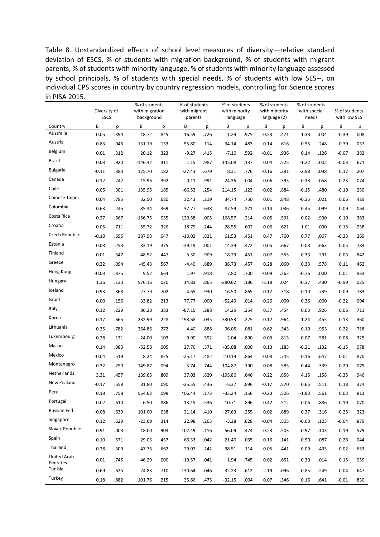Table 8. Unstandardized effects of school level measures of diversity—relative standard deviation of ESCS, % of students with migration background, % of students with migrant parents, % of students with minority language, % of students with minority language assessed by school principals, % of students with special needs, % of students with low SES--, on individual CPS scores in country by country regression models, controlling for Science scores in PISA 2015.

|                         | Diversity of<br><b>ESCS</b> |      | % of students<br>with migration<br>background |      | % of students<br>with migrant<br>parents |      | % of students<br>with minority<br>language |      | % of students<br>with minority<br>language (2) |      | % of students<br>with special<br>needs |      | % of students<br>with low SES |      |
|-------------------------|-----------------------------|------|-----------------------------------------------|------|------------------------------------------|------|--------------------------------------------|------|------------------------------------------------|------|----------------------------------------|------|-------------------------------|------|
| Country                 | В                           | р    | B                                             | p    | В                                        | p    | В                                          | p    | В                                              | p    | В                                      | p    | В                             | p    |
| Australia               | 0.05                        | .394 | 18.72                                         | .845 | 16.59                                    | .726 | $-1.29$                                    | .975 | $-0.23$                                        | .471 | 1.38                                   | .004 | $-0.39$                       | .008 |
| Austria                 | 0.83                        | .046 | $-131.19$                                     | .133 | 55.80                                    | .114 | 34.14                                      | .483 | 0.14                                           | .616 | 0.55                                   | .248 | $-0.79$                       | .037 |
| Belgium                 | 0.01                        | .312 | 20.12                                         | .323 | $-9.27$                                  | .415 | $-7.10$                                    | .592 | $-0.01$                                        | .936 | 0.14                                   | .126 | $-0.07$                       | .382 |
| Brazil                  | 0.03                        | .920 | $-146.42$                                     | .411 | 1.15                                     | .987 | 145.08                                     | .137 | 0.04                                           | .525 | $-1.22$                                | .002 | $-0.03$                       | .671 |
| <b>Bulgaria</b>         | $-0.11$                     | .383 | 175.70                                        | .182 | $-27.43$                                 | .679 | 8.31                                       | .776 | $-0.16$                                        | .281 | $-2.98$                                | .098 | 0.17                          | .207 |
| Canada                  | 0.12                        | .242 | 15.96                                         | .392 | 0.11                                     | .991 | $-24.36$                                   | .004 | 0.06                                           | .393 | $-0.38$                                | .058 | 0.23                          | .074 |
| Chile                   | 0.05                        | .301 | 135.95                                        | .185 | $-66.52$                                 | .254 | 214.15                                     | .123 | $-0.02$                                        | .884 | $-0.15$                                | .480 | $-0.10$                       | .230 |
| Chinese Taipei          | 0.04                        | .785 | 32.50                                         | .680 | 32.43                                    | .219 | 34.74                                      | .750 | 0.01                                           | .848 | $-0.35$                                | .021 | 0.06                          | .429 |
| Colombia                | $-0.63$                     | .245 | 85.34                                         | .369 | 37.77                                    | .638 | 87.59                                      | .271 | 0.14                                           | .036 | $-0.45$                                | .099 | $-0.09$                       | .064 |
| Costa Rica              | 0.27                        | .667 | $-156.75$                                     | .055 | 120.58                                   | .005 | 168.57                                     | .214 | $-0.05$                                        | .591 | $-0.02$                                | .930 | $-0.10$                       | .383 |
| Croatia                 | 0.05                        | .711 | $-55.72$                                      | .326 | 18.79                                    | .244 | 28.55                                      | .602 | 0.06                                           | .621 | $-1.01$                                | .030 | 0.15                          | .238 |
| Czech Republic          | $-0.10$                     | .695 | 287.93                                        | .047 | $-13.02$                                 | .821 | 61.53                                      | .451 | 0.47                                           | .760 | 0.77                                   | .067 | $-0.33$                       | .269 |
| Estonia                 | 0.08                        | .253 | 83.19                                         | .375 | $-39.19$                                 | .001 | 14.39                                      | .472 | 0.05                                           | .667 | 0.08                                   | .663 | 0.05                          | .783 |
| Finland                 | $-0.01$                     | .347 | $-48.52$                                      | .447 | 3.50                                     | .909 | $-18.29$                                   | .451 | $-0.07$                                        | .555 | $-0.33$                                | .291 | 0.03                          | .842 |
| Greece                  | 0.32                        | .094 | $-45.43$                                      | .567 | $-4.40$                                  | .889 | 38.73                                      | .457 | 0.28                                           | .060 | 0.33                                   | .578 | 0.11                          | .462 |
| Hong Kong               | $-0.03$                     | .875 | 9.52                                          | .664 | 1.97                                     | .918 | 7.80                                       | .700 | $-0.09$                                        | .262 | $-0.76$                                | .000 | 0.01                          | .933 |
| Hungary                 | 1.36                        | .130 | 576.16                                        | .020 | 14.83                                    | .865 | $-280.62$                                  | .186 | $-3.18$                                        | .024 | $-0.37$                                | .430 | $-0.99$                       | .025 |
| Iceland                 | $-0.93$                     | .868 | $-27.79$                                      | .702 | 4.65                                     | .930 | $-16.50$                                   | .865 | $-0.17$                                        | .318 | 0.10                                   | .739 | 0.09                          | .783 |
| Israel                  | 0.00                        | .156 | $-33.82$                                      | .213 | 77.77                                    | .000 | $-52.49$                                   | .014 | $-0.26$                                        | .000 | 0.36                                   | .000 | $-0.22$                       | .004 |
| Italy                   | 0.12                        | .229 | 86.28                                         | .383 | $-87.15$                                 | .288 | 14.25                                      | .254 | 0.37                                           | .454 | 0.03                                   | .926 | 0.06                          | .711 |
| Korea                   | 0.17                        | .665 | $-282.99$                                     | .228 | 198.68                                   | .035 | $-330.53$                                  | .225 | $-0.12$                                        | .964 | 1.24                                   | .455 | $-0.13$                       | .360 |
| Lithuania               | $-0.35$                     | .782 | 264.86                                        | .272 | $-4.40$                                  | .888 | $-96.05$                                   | .081 | 0.62                                           | .343 | 0.10                                   | .953 | 0.22                          | .718 |
| Luxembourg              | 0.28                        | .171 | $-24.00$                                      | .103 | 9.90                                     | .592 | $-2.04$                                    | .890 | $-0.03$                                        | .813 | 0.07                                   | .581 | $-0.08$                       | .325 |
| Macao                   | 0.14                        | .080 | $-52.58$                                      | .005 | 27.76                                    | .371 | $-35.08$                                   | .000 | 0.13                                           | .183 | $-0.21$                                | .132 | $-0.15$                       | .078 |
| Mexico                  | $-0.04$                     | .519 | 8.24                                          | .825 | $-25.17$                                 | .482 | $-10.19$                                   | .864 | $-0.08$                                        | .745 | 0.16                                   | .647 | 0.01                          | .870 |
| Montenegro              | 0.32                        | .250 | 149.87                                        | .094 | $-5.74$                                  | .744 | $-104.87$                                  | .190 | 0.08                                           | .585 | $-0.44$                                | .339 | $-0.20$                       | .079 |
| Netherlands             | 3.31                        | .457 | 139.65                                        | .809 | 37.03                                    | .820 | $-195.86$                                  | .646 | 0.22                                           | .858 | 4.15                                   | .158 | $-0.35$                       | .946 |
| New Zealand             | $-0.17$                     | .558 | 81.80                                         | .090 | $-25.55$                                 | .436 | $-5.37$                                    | .896 | $-0.17$                                        | .570 | 0.65                                   | .511 | 0.18                          | .374 |
| Peru                    | 0.18                        | .758 | 554.62                                        | .098 | 406.44                                   | .173 | $-33.24$                                   | .156 | $-0.23$                                        | .506 | $-1.83$                                | .561 | 0.03                          | .813 |
| Portugal                | 0.02                        | .610 | 6.50                                          | .886 | 13.15                                    | .536 | 10.71                                      | .896 | 0.42                                           | .512 | 0.06                                   | .886 | $-0.19$                       | .070 |
| Russian Fed.            | $-0.08$                     | .639 | 101.00                                        | .038 | 21.14                                    | .410 | $-27.63$                                   | .255 | 0.02                                           | .889 | 0.37                                   | .316 | $-0.25$                       | .323 |
| Singapore               | 0.12                        | .629 | $-23.69$                                      | .314 | 22.98                                    | .265 | $-3.28$                                    | .828 | $-0.04$                                        | .505 | $-0.60$                                | .123 | $-0.04$                       | .879 |
| Slovak Republic         | $-0.91$                     | .003 | 18.00                                         | .903 | 102.49                                   | .116 | $-56.09$                                   | .474 | $-0.23$                                        | .503 | $-0.97$                                | .103 | $-0.19$                       | .579 |
| Spain                   | 0.10                        | .571 | $-29.05$                                      | .457 | 66.33                                    | .042 | $-21.40$                                   | .035 | 0.16                                           | .141 | 0.50                                   | .087 | $-0.26$                       | .044 |
| Thailand                | 0.28                        | .309 | $-47.75$                                      | .662 | $-29.07$                                 | .242 | $-38.51$                                   | .114 | 0.05                                           | .441 | $-0.09$                                | .435 | $-0.02$                       | .653 |
| United Arab<br>Emirates | 0.01                        | .745 | 46.29                                         | .000 | $-19.57$                                 | .041 | 1.94                                       | .745 | 0.02                                           | .651 | $-0.30$                                | .014 | 0.15                          | .059 |
| Tunisia                 | 0.69                        | .625 | $-24.83$                                      | .710 | 130.64                                   | .046 | 32.23                                      | .612 | $-2.19$                                        | .096 | $-0.85$                                | .249 | $-0.04$                       | .647 |
| Turkey                  | 0.18                        | .882 | 101.76                                        | .215 | 35.66                                    | .475 | $-32.15$                                   | .004 | 0.07                                           | .346 | 0.16                                   | .641 | $-0.01$                       | .830 |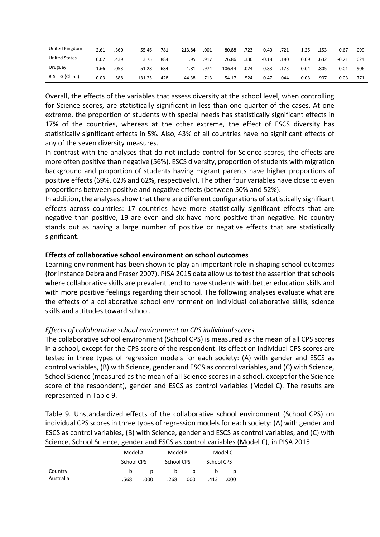| United Kingdom       | $-2.61$ | 360. | 55.46    | 781  | $-213.84$ | .001 | 80.88     | 723  | $-0.40$ | .721 | 1.25    | .153 | -0.67   | .099 |
|----------------------|---------|------|----------|------|-----------|------|-----------|------|---------|------|---------|------|---------|------|
| <b>United States</b> | 0.02    | .439 | 3.75     | .884 | 1.95      | .917 | 26.86     | .330 | $-0.18$ | .180 | 0.09    | .632 | $-0.21$ | .024 |
| Uruguay              | $-1.66$ | .053 | $-51.28$ | .684 | $-1.81$   | .974 | $-106.44$ | 024  | 0.83    | .173 | $-0.04$ | .805 | 0.01    | .906 |
| B-S-J-G (China)      | 0.03    | 588  | 131.25   | .428 | $-44.38$  | 713  | 54.17     | .524 | -0.47   | .044 | 0.03    | .907 | 0.03    | .771 |

Overall, the effects of the variables that assess diversity at the school level, when controlling for Science scores, are statistically significant in less than one quarter of the cases. At one extreme, the proportion of students with special needs has statistically significant effects in 17% of the countries, whereas at the other extreme, the effect of ESCS diversity has statistically significant effects in 5%. Also, 43% of all countries have no significant effects of any of the seven diversity measures.

In contrast with the analyses that do not include control for Science scores, the effects are more often positive than negative (56%). ESCS diversity, proportion of students with migration background and proportion of students having migrant parents have higher proportions of positive effects (69%, 62% and 62%, respectively). The other four variables have close to even proportions between positive and negative effects (between 50% and 52%).

In addition, the analyses show that there are different configurations of statistically significant effects across countries: 17 countries have more statistically significant effects that are negative than positive, 19 are even and six have more positive than negative. No country stands out as having a large number of positive or negative effects that are statistically significant.

## **Effects of collaborative school environment on school outcomes**

Learning environment has been shown to play an important role in shaping school outcomes (for instance Debra and Fraser 2007). PISA 2015 data allow us to test the assertion that schools where collaborative skills are prevalent tend to have students with better education skills and with more positive feelings regarding their school. The following analyses evaluate what are the effects of a collaborative school environment on individual collaborative skills, science skills and attitudes toward school.

# *Effects of collaborative school environment on CPS individual scores*

The collaborative school environment (School CPS) is measured as the mean of all CPS scores in a school, except for the CPS score of the respondent. Its effect on individual CPS scores are tested in three types of regression models for each society: (A) with gender and ESCS as control variables, (B) with Science, gender and ESCS as control variables, and (C) with Science, School Science (measured as the mean of all Science scores in a school, except for the Science score of the respondent), gender and ESCS as control variables (Model C). The results are represented in Table 9.

Table 9. Unstandardized effects of the collaborative school environment (School CPS) on individual CPS scores in three types of regression models for each society: (A) with gender and ESCS as control variables, (B) with Science, gender and ESCS as control variables, and (C) with Science, School Science, gender and ESCS as control variables (Model C), in PISA 2015.

|           | Model A           |      | Model B    |      | Model C    |      |  |
|-----------|-------------------|------|------------|------|------------|------|--|
|           | <b>School CPS</b> |      | School CPS |      | School CPS |      |  |
| Country   | b                 | D    | b          |      |            |      |  |
| Australia | .568              | .000 | .268       | .000 | .413       | .000 |  |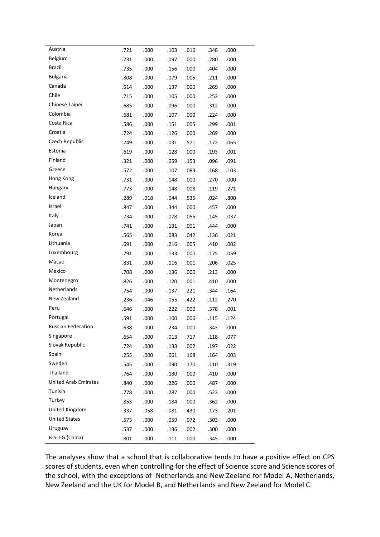| Austria                     | .721 | .000 | .103     | .016 | .348    | .000 |  |
|-----------------------------|------|------|----------|------|---------|------|--|
| <b>Belgium</b>              | .731 | .000 | .097     | .000 | .280    | .000 |  |
| <b>Brazil</b>               | .735 | .000 | .156     | .000 | .404    | .000 |  |
| <b>Bulgaria</b>             | .808 | .000 | .079     | .005 | .211    | .000 |  |
| Canada                      | .514 | .000 | .137     | .000 | .269    | .000 |  |
| Chile                       | .715 | .000 | .105     | .000 | .253    | .000 |  |
| Chinese Taipei              | .685 | .000 | .096     | .000 | .312    | .000 |  |
| Colombia                    | .681 | .000 | .107     | .000 | .224    | .000 |  |
| Costa Rica                  | .586 | .000 | .151     | .005 | .299    | .001 |  |
| Croatia                     | .724 | .000 | .126     | .000 | .269    | .000 |  |
| Czech Republic              | .749 | .000 | .031     | .571 | .172    | .065 |  |
| Estonia                     | .619 | .000 | .128     | .000 | .193    | .001 |  |
| Finland                     | .321 | .000 | .059     | .153 | .096    | .091 |  |
| Greece                      | .572 | .000 | .107     | .083 | .168    | .103 |  |
| Hong Kong                   | .731 | .000 | .148     | .000 | .270    | .000 |  |
| Hungary                     | .773 | .000 | .148     | .008 | .119    | .271 |  |
| Iceland                     | .289 | .018 | .044     | .535 | .024    | .800 |  |
| Israel                      | .847 | .000 | .344     | .000 | .457    | .000 |  |
| Italy                       | .734 | .000 | .078     | .055 | .145    | .037 |  |
| Japan                       | .741 | .000 | .131     | .001 | .444    | .000 |  |
| Korea                       | .565 | .000 | .083     | .042 | .136    | .021 |  |
| Lithuania                   | .691 | .000 | .216     | .005 | .410    | .002 |  |
| Luxembourg                  | .791 | .000 | .133     | .000 | .175    | .059 |  |
| Macao                       | .831 | .000 | .116     | .001 | .206    | .025 |  |
| Mexico                      | .708 | .000 | .136     | .000 | .213    | .000 |  |
| Montenegro                  | .826 | .000 | .120     | .001 | .410    | .000 |  |
| Netherlands                 | .754 | .000 | $-.137$  | .221 | $-.344$ | .164 |  |
| New Zealand                 | .236 | .046 | $-0.055$ | .422 | $-.112$ | .270 |  |
| Peru                        | .646 | .000 | .222     | .000 | .378    | .001 |  |
| Portugal                    | .591 | .000 | .100     | .006 | .115    | .124 |  |
| Russian Federation          | .638 | .000 | .234     | .000 | .343    | .000 |  |
| Singapore                   | .654 | .000 | .013     | .717 | .118    | .077 |  |
| Slovak Republic             | .724 | .000 | .133     | .002 | .197    | .022 |  |
| Spain                       | .255 | .000 | .061     | .168 | .164    | .003 |  |
| Sweden                      | .545 | .000 | .090     | .170 | .110    | .319 |  |
| Thailand                    | .764 | .000 | .180     | .000 | .410    | .000 |  |
| <b>United Arab Emirates</b> | .840 | .000 | .226     | .000 | .487    | .000 |  |
| Tunisia                     | .778 | .000 | .287     | .000 | .523    | .000 |  |
| Turkey                      | .853 | .000 | .184     | .000 | .362    | .000 |  |
| United Kingdom              | .337 | .058 | $-.081$  | .430 | .173    | .201 |  |
| <b>United States</b>        | .573 | .000 | .059     | .072 | .303    | .000 |  |
| Uruguay                     | .537 | .000 | .136     | .002 | .300    | .000 |  |
| B-S-J-G (China)             | .801 | .000 | .111     | .000 | .345    | .000 |  |

The analyses show that a school that is collaborative tends to have a positive effect on CPS scores of students, even when controlling for the effect of Science score and Science scores of the school, with the exceptions of Netherlands and New Zeeland for Model A, Netherlands, New Zeeland and the UK for Model B, and Netherlands and New Zeeland for Model C.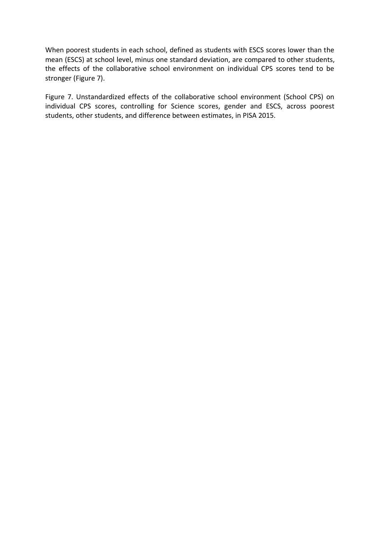When poorest students in each school, defined as students with ESCS scores lower than the mean (ESCS) at school level, minus one standard deviation, are compared to other students, the effects of the collaborative school environment on individual CPS scores tend to be stronger (Figure 7).

Figure 7. Unstandardized effects of the collaborative school environment (School CPS) on individual CPS scores, controlling for Science scores, gender and ESCS, across poorest students, other students, and difference between estimates, in PISA 2015.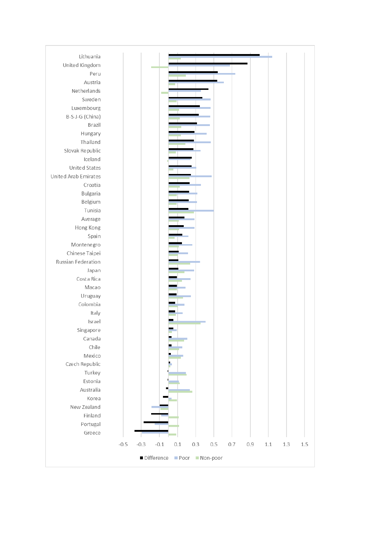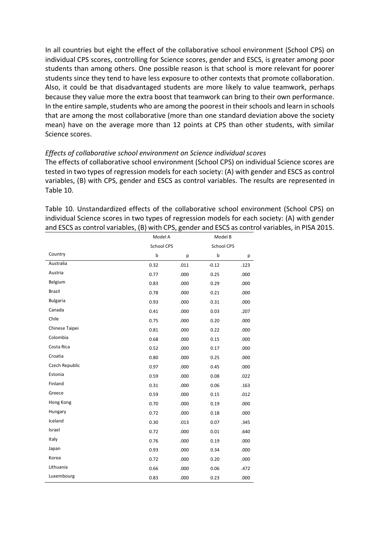In all countries but eight the effect of the collaborative school environment (School CPS) on individual CPS scores, controlling for Science scores, gender and ESCS, is greater among poor students than among others. One possible reason is that school is more relevant for poorer students since they tend to have less exposure to other contexts that promote collaboration. Also, it could be that disadvantaged students are more likely to value teamwork, perhaps because they value more the extra boost that teamwork can bring to their own performance. In the entire sample, students who are among the poorest in their schools and learn in schools that are among the most collaborative (more than one standard deviation above the society mean) have on the average more than 12 points at CPS than other students, with similar Science scores.

## *Effects of collaborative school environment on Science individual scores*

The effects of collaborative school environment (School CPS) on individual Science scores are tested in two types of regression models for each society: (A) with gender and ESCS as control variables, (B) with CPS, gender and ESCS as control variables. The results are represented in Table 10.

Table 10. Unstandardized effects of the collaborative school environment (School CPS) on individual Science scores in two types of regression models for each society: (A) with gender and ESCS as control variables, (B) with CPS, gender and ESCS as control variables, in PISA 2015.

|                 | Model A    |      | Model B    |      |
|-----------------|------------|------|------------|------|
|                 | School CPS |      | School CPS |      |
| Country         | b          | p    | b          | р    |
| Australia       | 0.32       | .011 | $-0.12$    | .123 |
| Austria         | 0.77       | .000 | 0.25       | .000 |
| Belgium         | 0.83       | .000 | 0.29       | .000 |
| Brazil          | 0.78       | .000 | 0.21       | .000 |
| <b>Bulgaria</b> | 0.93       | .000 | 0.31       | .000 |
| Canada          | 0.41       | .000 | 0.03       | .207 |
| Chile           | 0.75       | .000 | 0.20       | .000 |
| Chinese Taipei  | 0.81       | .000 | 0.22       | .000 |
| Colombia        | 0.68       | .000 | 0.15       | .000 |
| Costa Rica      | 0.52       | .000 | 0.17       | .000 |
| Croatia         | 0.80       | .000 | 0.25       | .000 |
| Czech Republic  | 0.97       | .000 | 0.45       | .000 |
| Estonia         | 0.59       | .000 | 0.08       | .022 |
| Finland         | 0.31       | .000 | 0.06       | .163 |
| Greece          | 0.59       | .000 | 0.15       | .012 |
| Hong Kong       | 0.70       | .000 | 0.19       | .000 |
| Hungary         | 0.72       | .000 | 0.18       | .000 |
| Iceland         | 0.30       | .013 | 0.07       | .345 |
| Israel          | 0.72       | .000 | 0.01       | .640 |
| Italy           | 0.76       | .000 | 0.19       | .000 |
| Japan           | 0.93       | .000 | 0.34       | .000 |
| Korea           | 0.72       | .000 | 0.20       | .000 |
| Lithuania       | 0.66       | .000 | 0.06       | .472 |
| Luxembourg      | 0.83       | .000 | 0.23       | .000 |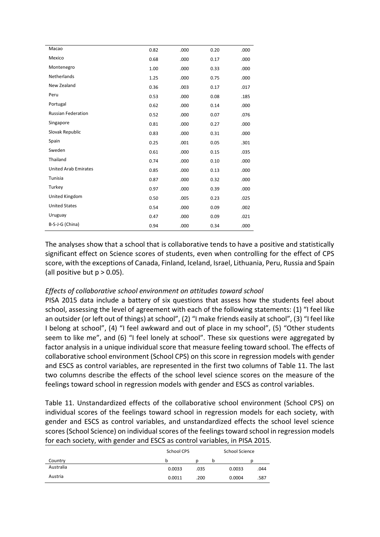| Macao                       |      |      |      |      |
|-----------------------------|------|------|------|------|
|                             | 0.82 | .000 | 0.20 | .000 |
| Mexico                      | 0.68 | .000 | 0.17 | .000 |
| Montenegro                  | 1.00 | .000 | 0.33 | .000 |
| Netherlands                 | 1.25 | .000 | 0.75 | .000 |
| New Zealand                 | 0.36 | .003 | 0.17 | .017 |
| Peru                        | 0.53 | .000 | 0.08 | .185 |
| Portugal                    | 0.62 | .000 | 0.14 | .000 |
| <b>Russian Federation</b>   | 0.52 | .000 | 0.07 | .076 |
| Singapore                   | 0.81 | .000 | 0.27 | .000 |
| Slovak Republic             | 0.83 | .000 | 0.31 | .000 |
| Spain                       | 0.25 | .001 | 0.05 | .301 |
| Sweden                      | 0.61 | .000 | 0.15 | .035 |
| Thailand                    | 0.74 | .000 | 0.10 | .000 |
| <b>United Arab Emirates</b> | 0.85 | .000 | 0.13 | .000 |
| Tunisia                     | 0.87 | .000 | 0.32 | .000 |
| Turkey                      | 0.97 | .000 | 0.39 | .000 |
| United Kingdom              | 0.50 | .005 | 0.23 | .025 |
| <b>United States</b>        | 0.54 | .000 | 0.09 | .002 |
| Uruguay                     | 0.47 | .000 | 0.09 | .021 |
| B-S-J-G (China)             | 0.94 | .000 | 0.34 | .000 |

The analyses show that a school that is collaborative tends to have a positive and statistically significant effect on Science scores of students, even when controlling for the effect of CPS score, with the exceptions of Canada, Finland, Iceland, Israel, Lithuania, Peru, Russia and Spain (all positive but  $p > 0.05$ ).

# *Effects of collaborative school environment on attitudes toward school*

PISA 2015 data include a battery of six questions that assess how the students feel about school, assessing the level of agreement with each of the following statements: (1) "I feel like an outsider (or left out of things) at school", (2) "I make friends easily at school", (3) "I feel like I belong at school", (4) "I feel awkward and out of place in my school", (5) "Other students seem to like me", and (6) "I feel lonely at school". These six questions were aggregated by factor analysis in a unique individual score that measure feeling toward school. The effects of collaborative school environment (School CPS) on this score in regression models with gender and ESCS as control variables, are represented in the first two columns of Table 11. The last two columns describe the effects of the school level science scores on the measure of the feelings toward school in regression models with gender and ESCS as control variables.

Table 11. Unstandardized effects of the collaborative school environment (School CPS) on individual scores of the feelings toward school in regression models for each society, with gender and ESCS as control variables, and unstandardized effects the school level science scores (School Science) on individual scores of the feelings toward school in regression models for each society, with gender and ESCS as control variables, in PISA 2015.

|           | School CPS |      | School Science |        |      |
|-----------|------------|------|----------------|--------|------|
| Country   | b          |      | b              |        |      |
| Australia | 0.0033     | .035 |                | 0.0033 | .044 |
| Austria   | 0.0011     | .200 |                | 0.0004 | .587 |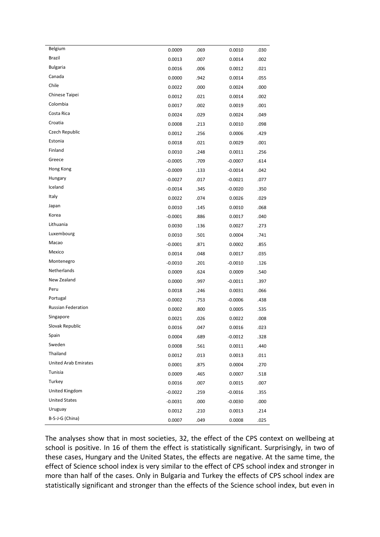| Belgium                     | 0.0009    | .069 | 0.0010    | .030 |
|-----------------------------|-----------|------|-----------|------|
| Brazil                      | 0.0013    | .007 | 0.0014    | .002 |
| <b>Bulgaria</b>             | 0.0016    | .006 | 0.0012    | .021 |
| Canada                      | 0.0000    | .942 | 0.0014    | .055 |
| Chile                       | 0.0022    | .000 | 0.0024    | .000 |
| Chinese Taipei              | 0.0012    | .021 | 0.0014    | .002 |
| Colombia                    | 0.0017    | .002 | 0.0019    | .001 |
| Costa Rica                  | 0.0024    | .029 | 0.0024    | .049 |
| Croatia                     | 0.0008    | .213 | 0.0010    | .098 |
| Czech Republic              | 0.0012    | .256 | 0.0006    | .429 |
| Estonia                     | 0.0018    | .021 | 0.0029    | .001 |
| Finland                     | 0.0010    | .248 | 0.0011    | .256 |
| Greece                      | $-0.0005$ | .709 | $-0.0007$ | .614 |
| Hong Kong                   | $-0.0009$ | .133 | $-0.0014$ | .042 |
| Hungary                     | $-0.0027$ | .017 | $-0.0021$ | .077 |
| Iceland                     | $-0.0014$ | .345 | $-0.0020$ | .350 |
| Italy                       | 0.0022    | .074 | 0.0026    | .029 |
| Japan                       | 0.0010    | .145 | 0.0010    | .068 |
| Korea                       | $-0.0001$ | .886 | 0.0017    | .040 |
| Lithuania                   | 0.0030    | .136 | 0.0027    | .273 |
| Luxembourg                  | 0.0010    | .501 | 0.0004    | .741 |
| Macao                       | $-0.0001$ | .871 | 0.0002    | .855 |
| Mexico                      | 0.0014    | .048 | 0.0017    | .035 |
| Montenegro                  | $-0.0010$ | .201 | $-0.0010$ | .126 |
| Netherlands                 | 0.0009    | .624 | 0.0009    | .540 |
| New Zealand                 | 0.0000    | .997 | $-0.0011$ | .397 |
| Peru                        | 0.0018    | .246 | 0.0031    | .066 |
| Portugal                    | $-0.0002$ | .753 | $-0.0006$ | .438 |
| <b>Russian Federation</b>   | 0.0002    | .800 | 0.0005    | .535 |
| Singapore                   | 0.0021    | .026 | 0.0022    | .008 |
| Slovak Republic             | 0.0016    | .047 | 0.0016    | .023 |
| Spain                       | 0.0004    | .689 | $-0.0012$ | .328 |
| Sweden                      | 0.0008    | .561 | 0.0011    | .440 |
| Thailand                    | 0.0012    | .013 | 0.0013    | .011 |
| <b>United Arab Emirates</b> | 0.0001    | .875 | 0.0004    | .270 |
| Tunisia                     | 0.0009    | .465 | 0.0007    | .518 |
| Turkey                      | 0.0016    | .007 | 0.0015    | .007 |
| United Kingdom              | $-0.0022$ | .259 | $-0.0016$ | .355 |
| <b>United States</b>        | $-0.0031$ | .000 | $-0.0030$ | .000 |
| Uruguay                     | 0.0012    | .210 | 0.0013    | .214 |
| B-S-J-G (China)             | 0.0007    | .049 | 0.0008    | .025 |

The analyses show that in most societies, 32, the effect of the CPS context on wellbeing at school is positive. In 16 of them the effect is statistically significant. Surprisingly, in two of these cases, Hungary and the United States, the effects are negative. At the same time, the effect of Science school index is very similar to the effect of CPS school index and stronger in more than half of the cases. Only in Bulgaria and Turkey the effects of CPS school index are statistically significant and stronger than the effects of the Science school index, but even in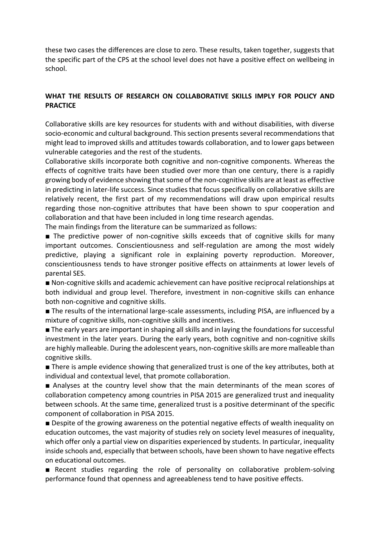these two cases the differences are close to zero. These results, taken together, suggests that the specific part of the CPS at the school level does not have a positive effect on wellbeing in school.

# **WHAT THE RESULTS OF RESEARCH ON COLLABORATIVE SKILLS IMPLY FOR POLICY AND PRACTICE**

Collaborative skills are key resources for students with and without disabilities, with diverse socio-economic and cultural background. This section presents several recommendations that might lead to improved skills and attitudes towards collaboration, and to lower gaps between vulnerable categories and the rest of the students.

Collaborative skills incorporate both cognitive and non-cognitive components. Whereas the effects of cognitive traits have been studied over more than one century, there is a rapidly growing body of evidence showing that some of the non-cognitive skills are at least as effective in predicting in later-life success. Since studies that focus specifically on collaborative skills are relatively recent, the first part of my recommendations will draw upon empirical results regarding those non-cognitive attributes that have been shown to spur cooperation and collaboration and that have been included in long time research agendas.

The main findings from the literature can be summarized as follows:

■ The predictive power of non-cognitive skills exceeds that of cognitive skills for many important outcomes. Conscientiousness and self-regulation are among the most widely predictive, playing a significant role in explaining poverty reproduction. Moreover, conscientiousness tends to have stronger positive effects on attainments at lower levels of parental SES.

■ Non-cognitive skills and academic achievement can have positive reciprocal relationships at both individual and group level. Therefore, investment in non-cognitive skills can enhance both non-cognitive and cognitive skills.

■ The results of the international large-scale assessments, including PISA, are influenced by a mixture of cognitive skills, non-cognitive skills and incentives.

■ The early years are important in shaping all skills and in laying the foundations for successful investment in the later years. During the early years, both cognitive and non-cognitive skills are highly malleable. During the adolescent years, non-cognitive skills are more malleable than cognitive skills.

■ There is ample evidence showing that generalized trust is one of the key attributes, both at individual and contextual level, that promote collaboration.

■ Analyses at the country level show that the main determinants of the mean scores of collaboration competency among countries in PISA 2015 are generalized trust and inequality between schools. At the same time, generalized trust is a positive determinant of the specific component of collaboration in PISA 2015.

■ Despite of the growing awareness on the potential negative effects of wealth inequality on education outcomes, the vast majority of studies rely on society level measures of inequality, which offer only a partial view on disparities experienced by students. In particular, inequality inside schools and, especially that between schools, have been shown to have negative effects on educational outcomes.

■ Recent studies regarding the role of personality on collaborative problem-solving performance found that openness and agreeableness tend to have positive effects.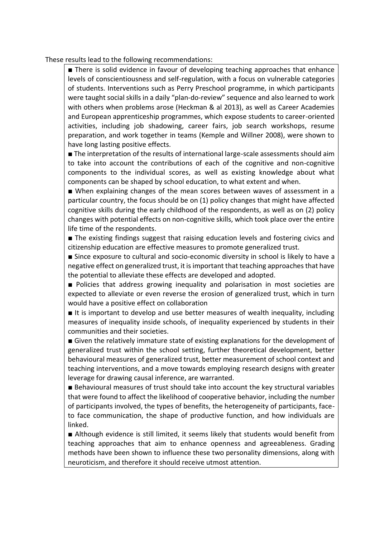These results lead to the following recommendations:

■ There is solid evidence in favour of developing teaching approaches that enhance levels of conscientiousness and self-regulation, with a focus on vulnerable categories of students. Interventions such as Perry Preschool programme, in which participants were taught social skills in a daily "plan-do-review" sequence and also learned to work with others when problems arose (Heckman & al 2013), as well as Career Academies and European apprenticeship programmes, which expose students to career-oriented activities, including job shadowing, career fairs, job search workshops, resume preparation, and work together in teams (Kemple and Willner 2008), were shown to have long lasting positive effects.

■ The interpretation of the results of international large-scale assessments should aim to take into account the contributions of each of the cognitive and non-cognitive components to the individual scores, as well as existing knowledge about what components can be shaped by school education, to what extent and when.

■ When explaining changes of the mean scores between waves of assessment in a particular country, the focus should be on (1) policy changes that might have affected cognitive skills during the early childhood of the respondents, as well as on (2) policy changes with potential effects on non-cognitive skills, which took place over the entire life time of the respondents.

■ The existing findings suggest that raising education levels and fostering civics and citizenship education are effective measures to promote generalized trust.

■ Since exposure to cultural and socio-economic diversity in school is likely to have a negative effect on generalized trust, it is important that teaching approaches that have the potential to alleviate these effects are developed and adopted.

■ Policies that address growing inequality and polarisation in most societies are expected to alleviate or even reverse the erosion of generalized trust, which in turn would have a positive effect on collaboration

■ It is important to develop and use better measures of wealth inequality, including measures of inequality inside schools, of inequality experienced by students in their communities and their societies.

■ Given the relatively immature state of existing explanations for the development of generalized trust within the school setting, further theoretical development, better behavioural measures of generalized trust, better measurement of school context and teaching interventions, and a move towards employing research designs with greater leverage for drawing causal inference, are warranted.

■ Behavioural measures of trust should take into account the key structural variables that were found to affect the likelihood of cooperative behavior, including the number of participants involved, the types of benefits, the heterogeneity of participants, faceto face communication, the shape of productive function, and how individuals are linked.

■ Although evidence is still limited, it seems likely that students would benefit from teaching approaches that aim to enhance openness and agreeableness. Grading methods have been shown to influence these two personality dimensions, along with neuroticism, and therefore it should receive utmost attention.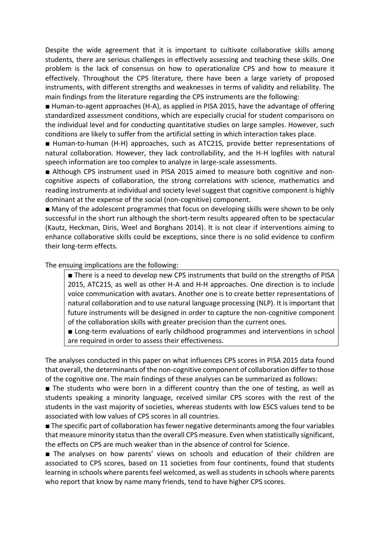Despite the wide agreement that it is important to cultivate collaborative skills among students, there are serious challenges in effectively assessing and teaching these skills. One problem is the lack of consensus on how to operationalize CPS and how to measure it effectively. Throughout the CPS literature, there have been a large variety of proposed instruments, with different strengths and weaknesses in terms of validity and reliability. The main findings from the literature regarding the CPS instruments are the following:

■ Human-to-agent approaches (H-A), as applied in PISA 2015, have the advantage of offering standardized assessment conditions, which are especially crucial for student comparisons on the individual level and for conducting quantitative studies on large samples. However, such conditions are likely to suffer from the artificial setting in which interaction takes place.

■ Human-to-human (H-H) approaches, such as ATC21S, provide better representations of natural collaboration. However, they lack controllability, and the H-H logfiles with natural speech information are too complex to analyze in large-scale assessments.

■ Although CPS instrument used in PISA 2015 aimed to measure both cognitive and noncognitive aspects of collaboration, the strong correlations with science, mathematics and reading instruments at individual and society level suggest that cognitive component is highly dominant at the expense of the social (non-cognitive) component.

■ Many of the adolescent programmes that focus on developing skills were shown to be only successful in the short run although the short-term results appeared often to be spectacular (Kautz, Heckman, Diris, Weel and Borghans 2014). It is not clear if interventions aiming to enhance collaborative skills could be exceptions, since there is no solid evidence to confirm their long-term effects.

The ensuing implications are the following:

■ There is a need to develop new CPS instruments that build on the strengths of PISA 2015, ATC21S, as well as other H-A and H-H approaches. One direction is to include voice communication with avatars. Another one is to create better representations of natural collaboration and to use natural language processing (NLP). It is important that future instruments will be designed in order to capture the non-cognitive component of the collaboration skills with greater precision than the current ones.

■ Long-term evaluations of early childhood programmes and interventions in school are required in order to assess their effectiveness.

The analyses conducted in this paper on what influences CPS scores in PISA 2015 data found that overall, the determinants of the non-cognitive component of collaboration differ to those of the cognitive one. The main findings of these analyses can be summarized as follows:

■ The students who were born in a different country than the one of testing, as well as students speaking a minority language, received similar CPS scores with the rest of the students in the vast majority of societies, whereas students with low ESCS values tend to be associated with low values of CPS scores in all countries.

■ The specific part of collaboration has fewer negative determinants among the four variables that measure minority status than the overall CPS measure. Even when statistically significant, the effects on CPS are much weaker than in the absence of control for Science.

■ The analyses on how parents' views on schools and education of their children are associated to CPS scores, based on 11 societies from four continents, found that students learning in schools where parents feel welcomed, as well as students in schools where parents who report that know by name many friends, tend to have higher CPS scores.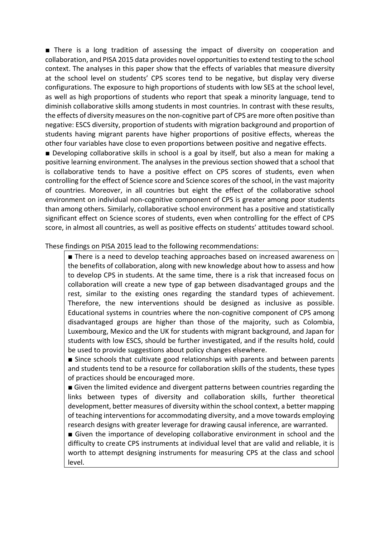■ There is a long tradition of assessing the impact of diversity on cooperation and collaboration, and PISA 2015 data provides novel opportunities to extend testing to the school context. The analyses in this paper show that the effects of variables that measure diversity at the school level on students' CPS scores tend to be negative, but display very diverse configurations. The exposure to high proportions of students with low SES at the school level, as well as high proportions of students who report that speak a minority language, tend to diminish collaborative skills among students in most countries. In contrast with these results, the effects of diversity measures on the non-cognitive part of CPS are more often positive than negative: ESCS diversity, proportion of students with migration background and proportion of students having migrant parents have higher proportions of positive effects, whereas the other four variables have close to even proportions between positive and negative effects.

■ Developing collaborative skills in school is a goal by itself, but also a mean for making a positive learning environment. The analyses in the previous section showed that a school that is collaborative tends to have a positive effect on CPS scores of students, even when controlling for the effect of Science score and Science scores of the school, in the vast majority of countries. Moreover, in all countries but eight the effect of the collaborative school environment on individual non-cognitive component of CPS is greater among poor students than among others. Similarly, collaborative school environment has a positive and statistically significant effect on Science scores of students, even when controlling for the effect of CPS score, in almost all countries, as well as positive effects on students' attitudes toward school.

These findings on PISA 2015 lead to the following recommendations:

■ There is a need to develop teaching approaches based on increased awareness on the benefits of collaboration, along with new knowledge about how to assess and how to develop CPS in students. At the same time, there is a risk that increased focus on collaboration will create a new type of gap between disadvantaged groups and the rest, similar to the existing ones regarding the standard types of achievement. Therefore, the new interventions should be designed as inclusive as possible. Educational systems in countries where the non-cognitive component of CPS among disadvantaged groups are higher than those of the majority, such as Colombia, Luxembourg, Mexico and the UK for students with migrant background, and Japan for students with low ESCS, should be further investigated, and if the results hold, could be used to provide suggestions about policy changes elsewhere.

■ Since schools that cultivate good relationships with parents and between parents and students tend to be a resource for collaboration skills of the students, these types of practices should be encouraged more.

■ Given the limited evidence and divergent patterns between countries regarding the links between types of diversity and collaboration skills, further theoretical development, better measures of diversity within the school context, a better mapping of teaching interventions for accommodating diversity, and a move towards employing research designs with greater leverage for drawing causal inference, are warranted.

■ Given the importance of developing collaborative environment in school and the difficulty to create CPS instruments at individual level that are valid and reliable, it is worth to attempt designing instruments for measuring CPS at the class and school level.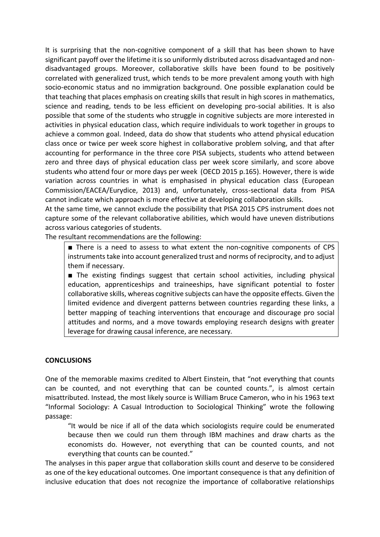It is surprising that the non-cognitive component of a skill that has been shown to have significant payoff over the lifetime it is so uniformly distributed across disadvantaged and nondisadvantaged groups. Moreover, collaborative skills have been found to be positively correlated with generalized trust, which tends to be more prevalent among youth with high socio-economic status and no immigration background. One possible explanation could be that teaching that places emphasis on creating skills that result in high scores in mathematics, science and reading, tends to be less efficient on developing pro-social abilities. It is also possible that some of the students who struggle in cognitive subjects are more interested in activities in physical education class, which require individuals to work together in groups to achieve a common goal. Indeed, data do show that students who attend physical education class once or twice per week score highest in collaborative problem solving, and that after accounting for performance in the three core PISA subjects, students who attend between zero and three days of physical education class per week score similarly, and score above students who attend four or more days per week (OECD 2015 p.165). However, there is wide variation across countries in what is emphasised in physical education class (European Commission/EACEA/Eurydice, 2013) and, unfortunately, cross-sectional data from PISA cannot indicate which approach is more effective at developing collaboration skills.

At the same time, we cannot exclude the possibility that PISA 2015 CPS instrument does not capture some of the relevant collaborative abilities, which would have uneven distributions across various categories of students.

The resultant recommendations are the following:

■ There is a need to assess to what extent the non-cognitive components of CPS instruments take into account generalized trust and norms of reciprocity, and to adjust them if necessary.

■ The existing findings suggest that certain school activities, including physical education, apprenticeships and traineeships, have significant potential to foster collaborative skills, whereas cognitive subjects can have the opposite effects. Given the limited evidence and divergent patterns between countries regarding these links, a better mapping of teaching interventions that encourage and discourage pro social attitudes and norms, and a move towards employing research designs with greater leverage for drawing causal inference, are necessary.

## **CONCLUSIONS**

One of the memorable maxims credited to Albert Einstein, that "not everything that counts can be counted, and not everything that can be counted counts.", is almost certain misattributed. Instead, the most likely source is William Bruce Cameron, who in his 1963 text "Informal Sociology: A Casual Introduction to Sociological Thinking" wrote the following passage:

"It would be nice if all of the data which sociologists require could be enumerated because then we could run them through IBM machines and draw charts as the economists do. However, not everything that can be counted counts, and not everything that counts can be counted."

The analyses in this paper argue that collaboration skills count and deserve to be considered as one of the key educational outcomes. One important consequence is that any definition of inclusive education that does not recognize the importance of collaborative relationships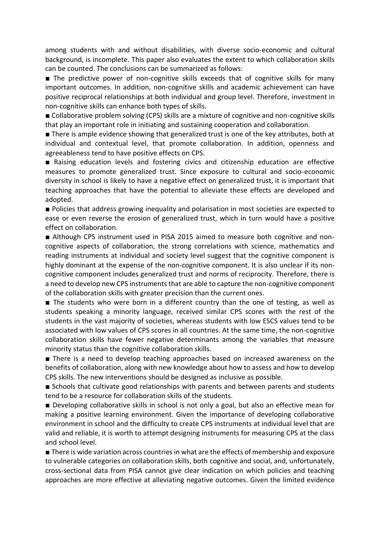among students with and without disabilities, with diverse socio-economic and cultural background, is incomplete. This paper also evaluates the extent to which collaboration skills can be counted. The conclusions can be summarized as follows:

■ The predictive power of non-cognitive skills exceeds that of cognitive skills for many important outcomes. In addition, non-cognitive skills and academic achievement can have positive reciprocal relationships at both individual and group level. Therefore, investment in non-cognitive skills can enhance both types of skills.

■ Collaborative problem solving (CPS) skills are a mixture of cognitive and non-cognitive skills that play an important role in initiating and sustaining cooperation and collaboration.

■ There is ample evidence showing that generalized trust is one of the key attributes, both at individual and contextual level, that promote collaboration. In addition, openness and agreeableness tend to have positive effects on CPS.

■ Raising education levels and fostering civics and citizenship education are effective measures to promote generalized trust. Since exposure to cultural and socio-economic diversity in school is likely to have a negative effect on generalized trust, it is important that teaching approaches that have the potential to alleviate these effects are developed and adopted.

■ Policies that address growing inequality and polarisation in most societies are expected to ease or even reverse the erosion of generalized trust, which in turn would have a positive effect on collaboration.

■ Although CPS instrument used in PISA 2015 aimed to measure both cognitive and noncognitive aspects of collaboration, the strong correlations with science, mathematics and reading instruments at individual and society level suggest that the cognitive component is highly dominant at the expense of the non-cognitive component. It is also unclear if its noncognitive component includes generalized trust and norms of reciprocity. Therefore, there is a need to develop new CPS instruments that are able to capture the non-cognitive component of the collaboration skills with greater precision than the current ones.

■ The students who were born in a different country than the one of testing, as well as students speaking a minority language, received similar CPS scores with the rest of the students in the vast majority of societies, whereas students with low ESCS values tend to be associated with low values of CPS scores in all countries. At the same time, the non-cognitive collaboration skills have fewer negative determinants among the variables that measure minority status than the cognitive collaboration skills.

■ There is a need to develop teaching approaches based on increased awareness on the benefits of collaboration, along with new knowledge about how to assess and how to develop CPS skills. The new interventions should be designed as inclusive as possible.

■ Schools that cultivate good relationships with parents and between parents and students tend to be a resource for collaboration skills of the students.

■ Developing collaborative skills in school is not only a goal, but also an effective mean for making a positive learning environment. Given the importance of developing collaborative environment in school and the difficulty to create CPS instruments at individual level that are valid and reliable, it is worth to attempt designing instruments for measuring CPS at the class and school level.

■ There is wide variation across countries in what are the effects of membership and exposure to vulnerable categories on collaboration skills, both cognitive and social, and, unfortunately, cross-sectional data from PISA cannot give clear indication on which policies and teaching approaches are more effective at alleviating negative outcomes. Given the limited evidence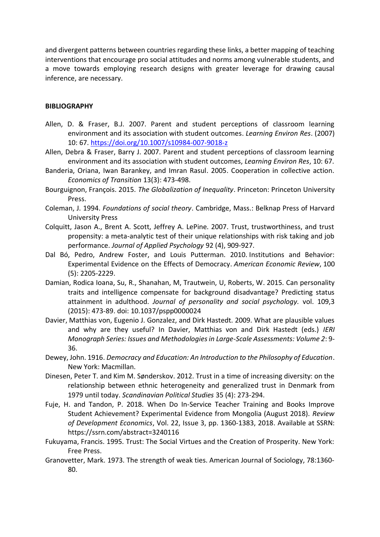and divergent patterns between countries regarding these links, a better mapping of teaching interventions that encourage pro social attitudes and norms among vulnerable students, and a move towards employing research designs with greater leverage for drawing causal inference, are necessary.

## **BIBLIOGRAPHY**

- Allen, D. & Fraser, B.J. 2007. Parent and student perceptions of classroom learning environment and its association with student outcomes. *Learning Environ Res*. (2007) 10: 67.<https://doi.org/10.1007/s10984-007-9018-z>
- Allen, Debra & Fraser, Barry J. 2007. Parent and student perceptions of classroom learning environment and its association with student outcomes, *Learning Environ Res*, 10: 67.
- Banderia, Oriana, Iwan Barankey, and Imran Rasul. 2005. Cooperation in collective action. *Economics of Transition* 13(3): 473-498.
- Bourguignon, François. 2015. *The Globalization of Inequality*. Princeton: Princeton University Press.
- Coleman, J. 1994. *Foundations of social theory*. Cambridge, Mass.: Belknap Press of Harvard University Press
- Colquitt, Jason A., Brent A. Scott, Jeffrey A. LePine. 2007. Trust, trustworthiness, and trust propensity: a meta-analytic test of their unique relationships with risk taking and job performance. *Journal of Applied Psychology* 92 (4), 909-927.
- Dal Bó, Pedro, Andrew Foster, and Louis Putterman. 2010. Institutions and Behavior: Experimental Evidence on the Effects of Democracy. *American Economic Review*, 100 (5): 2205-2229.
- Damian, Rodica Ioana, Su, R., Shanahan, M, Trautwein, U, Roberts, W. 2015. Can personality traits and intelligence compensate for background disadvantage? Predicting status attainment in adulthood. *Journal of personality and social psychology.* vol. 109,3 (2015): 473-89. doi: 10.1037/pspp0000024
- Davier, Matthias von, Eugenio J. Gonzalez, and Dirk Hastedt. 2009. What are plausible values and why are they useful? In Davier, Matthias von and Dirk Hastedt (eds.) *IERI Monograph Series: Issues and Methodologies in Large-Scale Assessments: Volume 2*: 9- 36.
- Dewey, John. 1916. *Democracy and Education: An Introduction to the Philosophy of Education*. New York: Macmillan.
- Dinesen, Peter T. and Kim M. Sønderskov. 2012. Trust in a time of increasing diversity: on the relationship between ethnic heterogeneity and generalized trust in Denmark from 1979 until today. *Scandinavian Political Studies* 35 (4): 273-294.
- Fuje, H. and Tandon, P. 2018. When Do In‐Service Teacher Training and Books Improve Student Achievement? Experimental Evidence from Mongolia (August 2018). *Review of Development Economics*, Vol. 22, Issue 3, pp. 1360-1383, 2018. Available at SSRN: https://ssrn.com/abstract=3240116
- Fukuyama, Francis. 1995. Trust: The Social Virtues and the Creation of Prosperity. New York: Free Press.
- Granovetter, Mark. 1973. The strength of weak ties. American Journal of Sociology, 78:1360‐ 80.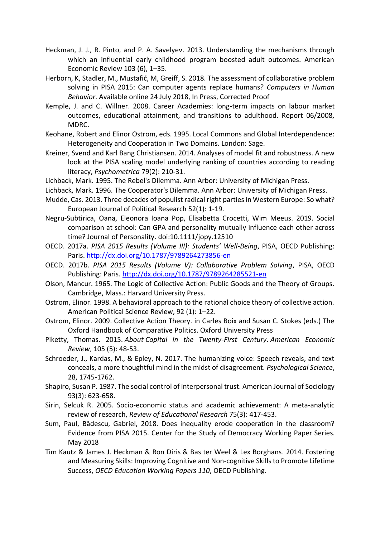- Heckman, J. J., R. Pinto, and P. A. Savelyev. 2013. Understanding the mechanisms through which an influential early childhood program boosted adult outcomes. American Economic Review 103 (6), 1–35.
- Herborn, K, Stadler, M., Mustafić, M, Greiff, S. 2018. The assessment of collaborative problem solving in PISA 2015: Can computer agents replace humans? *Computers in Human Behavior*. Available online 24 July 2018, In Press, Corrected Proof
- Kemple, J. and C. Willner. 2008. Career Academies: long-term impacts on labour market outcomes, educational attainment, and transitions to adulthood. Report 06/2008, MDRC.
- Keohane, Robert and Elinor Ostrom, eds. 1995. Local Commons and Global Interdependence: Heterogeneity and Cooperation in Two Domains. London: Sage.
- Kreiner, Svend and Karl Bang Christiansen. 2014. Analyses of model fit and robustness. A new look at the PISA scaling model underlying ranking of countries according to reading literacy, *Psychometrica* 79(2): 210-31.
- Lichback, Mark. 1995. The Rebel's Dilemma. Ann Arbor: University of Michigan Press.
- Lichback, Mark. 1996. The Cooperator's Dilemma. Ann Arbor: University of Michigan Press.
- Mudde, Cas. 2013. Three decades of populist radical right partiesin Western Europe: So what? European Journal of Political Research 52(1): 1-19.
- Negru-Subtirica, Oana, Eleonora Ioana Pop, Elisabetta Crocetti, Wim Meeus. 2019. Social comparison at school: Can GPA and personality mutually influence each other across time? Journal of Personality. doi:10.1111/jopy.12510
- OECD. 2017a. *PISA 2015 Results (Volume III): Students' Well-Being*, PISA, OECD Publishing: Paris[. http://dx.doi.org/10.1787/9789264273856-en](http://dx.doi.org/10.1787/9789264273856-en)
- OECD. 2017b. *PISA 2015 Results (Volume V): Collaborative Problem Solving*, PISA, OECD Publishing: Paris[. http://dx.doi.org/10.1787/9789264285521-en](http://dx.doi.org/10.1787/9789264285521-en)
- Olson, Mancur. 1965. The Logic of Collective Action: Public Goods and the Theory of Groups. Cambridge, Mass.: Harvard University Press.
- Ostrom, Elinor. 1998. A behavioral approach to the rational choice theory of collective action. American Political Science Review, 92 (1): 1–22.
- Ostrom, Elinor. 2009. Collective Action Theory. in Carles Boix and Susan C. Stokes (eds.) The Oxford Handbook of Comparative Politics. Oxford University Press
- Piketty, Thomas. 2015. *About Capital in the Twenty-First Century*. *American Economic Review*, 105 (5): 48-53.
- Schroeder, J., Kardas, M., & Epley, N. 2017. The humanizing voice: Speech reveals, and text conceals, a more thoughtful mind in the midst of disagreement. *Psychological Science*, 28, 1745-1762.
- Shapiro, Susan P. 1987. The social control of interpersonal trust. American Journal of Sociology 93(3): 623-658.
- Sirin, Selcuk R. 2005. Socio-economic status and academic achievement: A meta-analytic review of research, *Review of Educational Research* 75(3): 417-453.
- Sum, Paul, Bădescu, Gabriel, 2018. Does inequality erode cooperation in the classroom? Evidence from PISA 2015. Center for the Study of Democracy Working Paper Series. May 2018
- Tim Kautz & James J. Heckman & Ron Diris & Bas ter Weel & Lex Borghans. 2014. Fostering and Measuring Skills: Improving Cognitive and Non-cognitive Skills to Promote Lifetime Success, *OECD Education Working Papers 110*, OECD Publishing.